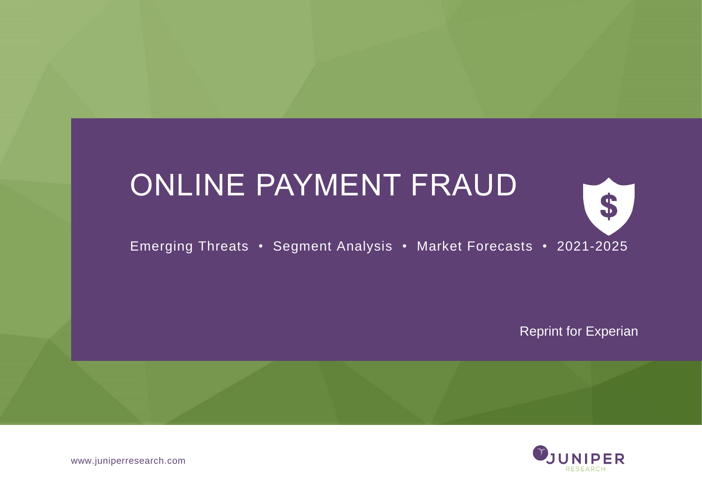# ONLINE PAYMENT FRAUD



Emerging Threats • Segment Analysis • Market Forecasts • 2021-2025

Reprint for Experian



www.juniperresearch.com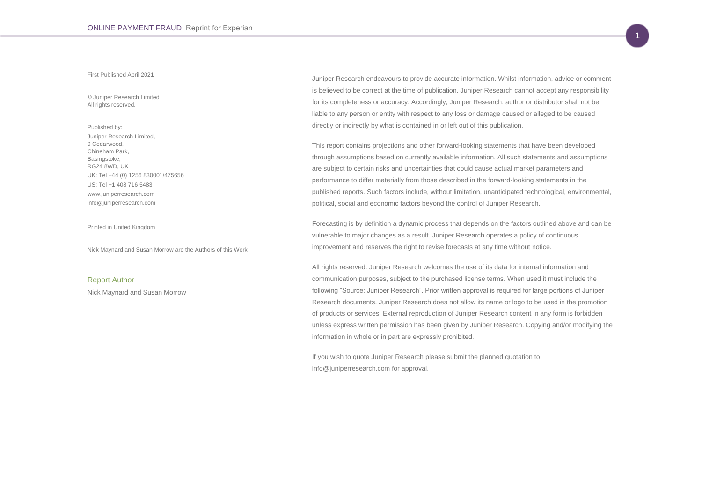#### First Published April 2021

© Juniper Research Limited All rights reserved.

Published by: Juniper Research Limited, 9 Cedarwood, Chineham Park, Basingstoke, RG24 8WD, UK UK: Tel +44 (0) 1256 830001/475656 US: Tel +1 408 716 5483 www.juniperresearch.com info@juniperresearch.com

Printed in United Kingdom

Nick Maynard and Susan Morrow are the Authors of this Work

#### Report Author

Nick Maynard and Susan Morrow

Juniper Research endeavours to provide accurate information. Whilst information, advice or comment is believed to be correct at the time of publication, Juniper Research cannot accept any responsibility for its completeness or accuracy. Accordingly, Juniper Research, author or distributor shall not be liable to any person or entity with respect to any loss or damage caused or alleged to be caused directly or indirectly by what is contained in or left out of this publication.

This report contains projections and other forward-looking statements that have been developed through assumptions based on currently available information. All such statements and assumptions are subject to certain risks and uncertainties that could cause actual market parameters and performance to differ materially from those described in the forward-looking statements in the published reports. Such factors include, without limitation, unanticipated technological, environmental, political, social and economic factors beyond the control of Juniper Research.

Forecasting is by definition a dynamic process that depends on the factors outlined above and can be vulnerable to major changes as a result. Juniper Research operates a policy of continuous improvement and reserves the right to revise forecasts at any time without notice.

All rights reserved: Juniper Research welcomes the use of its data for internal information and communication purposes, subject to the purchased license terms. When used it must include the following "Source: Juniper Research". Prior written approval is required for large portions of Juniper Research documents. Juniper Research does not allow its name or logo to be used in the promotion of products or services. External reproduction of Juniper Research content in any form is forbidden unless express written permission has been given by Juniper Research. Copying and/or modifying the information in whole or in part are expressly prohibited.

If you wish to quote Juniper Research please submit the planned quotation to info@juniperresearch.com for approval.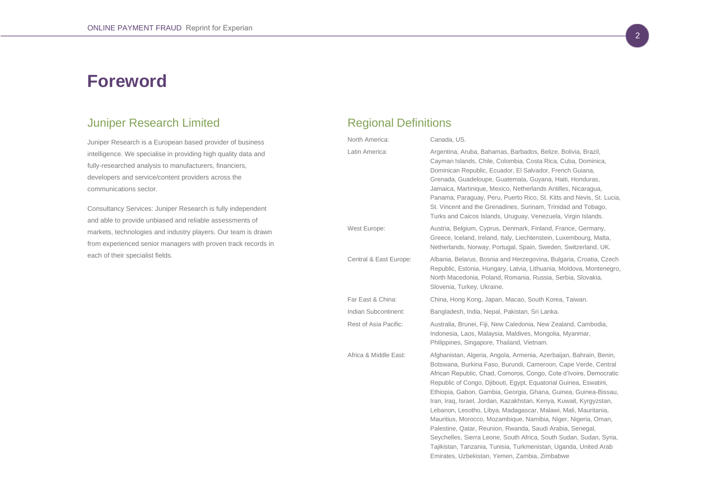## **Foreword**

## Juniper Research Limited

Juniper Research is a European based provider of business intelligence. We specialise in providing high quality data and fully-researched analysis to manufacturers, financiers, developers and service/content providers across the communications sector.

Consultancy Services: Juniper Research is fully independent and able to provide unbiased and reliable assessments of markets, technologies and industry players. Our team is drawn from experienced senior managers with proven track records in each of their specialist fields.

## Regional Definitions

| North America:         | Canada, US.                                                                                                                                                                                                                                                                                                                                                                                                                                                                                                                                                                                                                                                                                                                                                                                                        |
|------------------------|--------------------------------------------------------------------------------------------------------------------------------------------------------------------------------------------------------------------------------------------------------------------------------------------------------------------------------------------------------------------------------------------------------------------------------------------------------------------------------------------------------------------------------------------------------------------------------------------------------------------------------------------------------------------------------------------------------------------------------------------------------------------------------------------------------------------|
| Latin America:         | Argentina, Aruba, Bahamas, Barbados, Belize, Bolivia, Brazil,<br>Cayman Islands, Chile, Colombia, Costa Rica, Cuba, Dominica,<br>Dominican Republic, Ecuador, El Salvador, French Guiana,<br>Grenada, Guadeloupe, Guatemala, Guyana, Haiti, Honduras,<br>Jamaica, Martinique, Mexico, Netherlands Antilles, Nicaragua,<br>Panama, Paraguay, Peru, Puerto Rico, St. Kitts and Nevis, St. Lucia,<br>St. Vincent and the Grenadines, Surinam, Trinidad and Tobago,<br>Turks and Caicos Islands, Uruguay, Venezuela, Virgin Islands.                                                                                                                                                                                                                                                                                   |
| West Europe:           | Austria, Belgium, Cyprus, Denmark, Finland, France, Germany,<br>Greece, Iceland, Ireland, Italy, Liechtenstein, Luxembourg, Malta,<br>Netherlands, Norway, Portugal, Spain, Sweden, Switzerland, UK.                                                                                                                                                                                                                                                                                                                                                                                                                                                                                                                                                                                                               |
| Central & East Europe: | Albania, Belarus, Bosnia and Herzegovina, Bulgaria, Croatia, Czech<br>Republic, Estonia, Hungary, Latvia, Lithuania, Moldova, Montenegro,<br>North Macedonia, Poland, Romania, Russia, Serbia, Slovakia,<br>Slovenia, Turkey, Ukraine.                                                                                                                                                                                                                                                                                                                                                                                                                                                                                                                                                                             |
| Far East & China:      | China, Hong Kong, Japan, Macao, South Korea, Taiwan.                                                                                                                                                                                                                                                                                                                                                                                                                                                                                                                                                                                                                                                                                                                                                               |
| Indian Subcontinent:   | Bangladesh, India, Nepal, Pakistan, Sri Lanka.                                                                                                                                                                                                                                                                                                                                                                                                                                                                                                                                                                                                                                                                                                                                                                     |
| Rest of Asia Pacific:  | Australia, Brunei, Fiji, New Caledonia, New Zealand, Cambodia,<br>Indonesia, Laos, Malaysia, Maldives, Mongolia, Myanmar,<br>Philippines, Singapore, Thailand, Vietnam.                                                                                                                                                                                                                                                                                                                                                                                                                                                                                                                                                                                                                                            |
| Africa & Middle East:  | Afghanistan, Algeria, Angola, Armenia, Azerbaijan, Bahrain, Benin,<br>Botswana, Burkina Faso, Burundi, Cameroon, Cape Verde, Central<br>African Republic, Chad, Comoros, Congo, Cote d'Ivoire, Democratic<br>Republic of Congo, Djibouti, Egypt, Equatorial Guinea, Eswatini,<br>Ethiopia, Gabon, Gambia, Georgia, Ghana, Guinea, Guinea-Bissau,<br>Iran, Iraq, Israel, Jordan, Kazakhstan, Kenya, Kuwait, Kyrgyzstan,<br>Lebanon, Lesotho, Libya, Madagascar, Malawi, Mali, Mauritania,<br>Mauritius, Morocco, Mozambique, Namibia, Niger, Nigeria, Oman,<br>Palestine, Qatar, Reunion, Rwanda, Saudi Arabia, Senegal,<br>Seychelles, Sierra Leone, South Africa, South Sudan, Sudan, Syria,<br>Tajikistan, Tanzania, Tunisia, Turkmenistan, Uganda, United Arab<br>Emirates, Uzbekistan, Yemen, Zambia, Zimbabwe |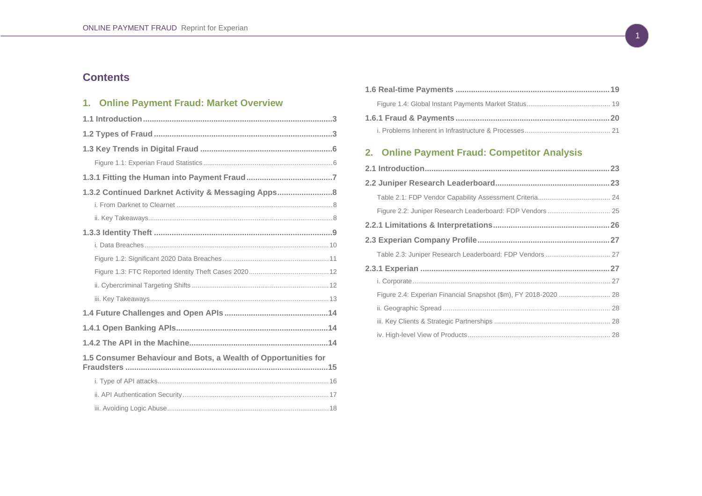## <span id="page-3-0"></span>**Contents**

## **1. [Online Payment Fraud: Market Overview](#page-4-0)**

| 1.3.2 Continued Darknet Activity & Messaging Apps8             |  |
|----------------------------------------------------------------|--|
|                                                                |  |
|                                                                |  |
|                                                                |  |
|                                                                |  |
|                                                                |  |
|                                                                |  |
|                                                                |  |
|                                                                |  |
|                                                                |  |
|                                                                |  |
|                                                                |  |
| 1.5 Consumer Behaviour and Bots, a Wealth of Opportunities for |  |
|                                                                |  |
|                                                                |  |
|                                                                |  |
|                                                                |  |

## **2. [Online Payment Fraud: Competitor Analysis](#page-24-0)**

| Figure 2.4: Experian Financial Snapshot (\$m), FY 2018-2020  28 |  |
|-----------------------------------------------------------------|--|
|                                                                 |  |
|                                                                 |  |
|                                                                 |  |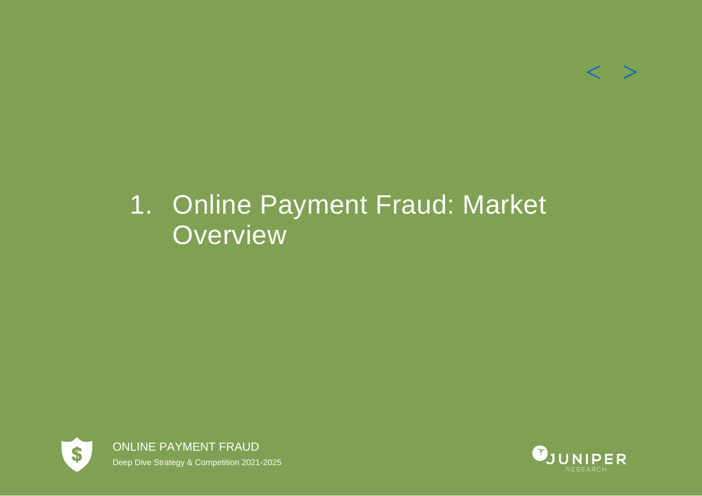## $<$   $>$

# <span id="page-4-0"></span>1. Online Payment Fraud: Market **Overview**



ONLINE PAYMENT FRAUD Deep Dive Strategy & Competition 2021-2025

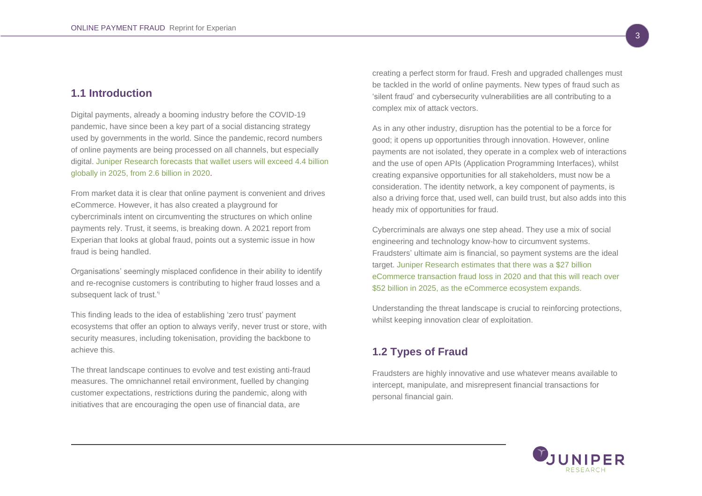## <span id="page-5-0"></span>**1.1 Introduction**

Digital payments, already a booming industry before the COVID-19 pandemic, have since been a key part of a social distancing strategy used by governments in the world. Since the pandemic, record numbers of online payments are being processed on all channels, but especially digital. Juniper Research forecasts that wallet users will exceed 4.4 billion globally in 2025, from 2.6 billion in 2020.

From market data it is clear that online payment is convenient and drives eCommerce. However, it has also created a playground for cybercriminals intent on circumventing the structures on which online payments rely. Trust, it seems, is breaking down. A 2021 report from Experian that looks at global fraud, points out a systemic issue in how fraud is being handled.

Organisations' seemingly misplaced confidence in their ability to identify and re-recognise customers is contributing to higher fraud losses and a subsequent lack of trust.<sup>'i</sup>

This finding leads to the idea of establishing 'zero trust' payment ecosystems that offer an option to always verify, never trust or store, with security measures, including tokenisation, providing the backbone to achieve this.

The threat landscape continues to evolve and test existing anti-fraud measures. The omnichannel retail environment, fuelled by changing customer expectations, restrictions during the pandemic, along with initiatives that are encouraging the open use of financial data, are

creating a perfect storm for fraud. Fresh and upgraded challenges must be tackled in the world of online payments. New types of fraud such as 'silent fraud' and cybersecurity vulnerabilities are all contributing to a complex mix of attack vectors.

As in any other industry, disruption has the potential to be a force for good; it opens up opportunities through innovation. However, online payments are not isolated, they operate in a complex web of interactions and the use of open APIs (Application Programming Interfaces), whilst creating expansive opportunities for all stakeholders, must now be a consideration. The identity network, a key component of payments, is also a driving force that, used well, can build trust, but also adds into this heady mix of opportunities for fraud.

Cybercriminals are always one step ahead. They use a mix of social engineering and technology know-how to circumvent systems. Fraudsters' ultimate aim is financial, so payment systems are the ideal target. Juniper Research estimates that there was a \$27 billion eCommerce transaction fraud loss in 2020 and that this will reach over \$52 billion in 2025, as the eCommerce ecosystem expands.

Understanding the threat landscape is crucial to reinforcing protections, whilst keeping innovation clear of exploitation.

## <span id="page-5-1"></span>**1.2 Types of Fraud**

Fraudsters are highly innovative and use whatever means available to intercept, manipulate, and misrepresent financial transactions for personal financial gain.

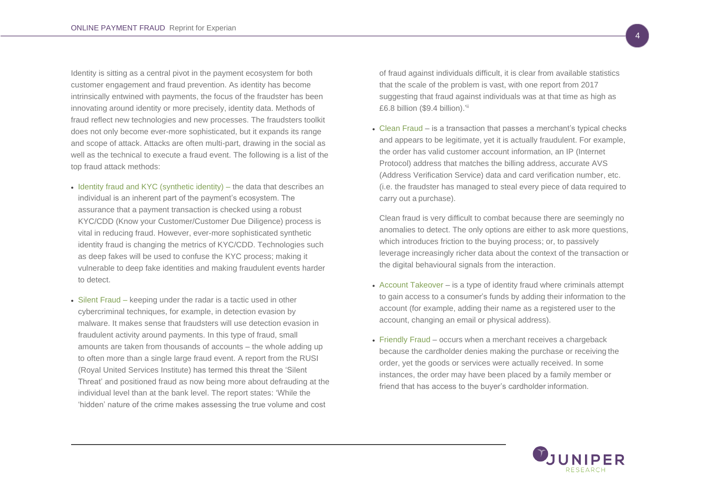Identity is sitting as a central pivot in the payment ecosystem for both customer engagement and fraud prevention. As identity has become intrinsically entwined with payments, the focus of the fraudster has been innovating around identity or more precisely, identity data. Methods of fraud reflect new technologies and new processes. The fraudsters toolkit does not only become ever-more sophisticated, but it expands its range and scope of attack. Attacks are often multi-part, drawing in the social as well as the technical to execute a fraud event. The following is a list of the top fraud attack methods:

- Identity fraud and KYC (synthetic identity) the data that describes an individual is an inherent part of the payment's ecosystem. The assurance that a payment transaction is checked using a robust KYC/CDD (Know your Customer/Customer Due Diligence) process is vital in reducing fraud. However, ever-more sophisticated synthetic identity fraud is changing the metrics of KYC/CDD. Technologies such as deep fakes will be used to confuse the KYC process; making it vulnerable to deep fake identities and making fraudulent events harder to detect.
- Silent Fraud keeping under the radar is a tactic used in other cybercriminal techniques, for example, in detection evasion by malware. It makes sense that fraudsters will use detection evasion in fraudulent activity around payments. In this type of fraud, small amounts are taken from thousands of accounts – the whole adding up to often more than a single large fraud event. A report from the RUSI (Royal United Services Institute) has termed this threat the 'Silent Threat' and positioned fraud as now being more about defrauding at the individual level than at the bank level. The report states: 'While the 'hidden' nature of the crime makes assessing the true volume and cost

of fraud against individuals difficult, it is clear from available statistics that the scale of the problem is vast, with one report from 2017 suggesting that fraud against individuals was at that time as high as £6.8 billion  $($9.4$$  billion).'

• Clean Fraud – is a transaction that passes a merchant's typical checks and appears to be legitimate, yet it is actually fraudulent. For example, the order has valid customer account information, an IP (Internet Protocol) address that matches the billing address, accurate AVS (Address Verification Service) data and card verification number, etc. (i.e. the fraudster has managed to steal every piece of data required to carry out a purchase).

Clean fraud is very difficult to combat because there are seemingly no anomalies to detect. The only options are either to ask more questions, which introduces friction to the buying process; or, to passively leverage increasingly richer data about the context of the transaction or the digital behavioural signals from the interaction.

- Account Takeover is a type of identity fraud where criminals attempt to gain access to a consumer's funds by adding their information to the account (for example, adding their name as a registered user to the account, changing an email or physical address).
- Friendly Fraud occurs when a merchant receives a chargeback because the cardholder denies making the purchase or receiving the order, yet the goods or services were actually received. In some instances, the order may have been placed by a family member or friend that has access to the buyer's cardholder information.

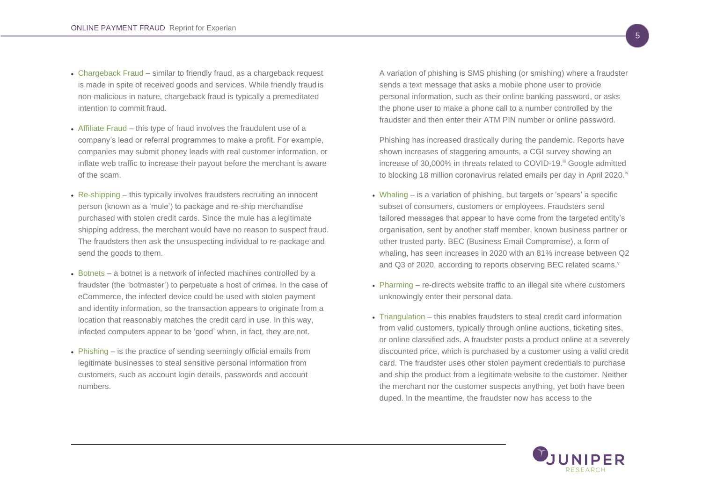- Chargeback Fraud similar to friendly fraud, as a chargeback request is made in spite of received goods and services. While friendly fraud is non-malicious in nature, chargeback fraud is typically a premeditated intention to commit fraud.
- Affiliate Fraud this type of fraud involves the fraudulent use of a company's lead or referral programmes to make a profit. For example, companies may submit phoney leads with real customer information, or inflate web traffic to increase their payout before the merchant is aware of the scam.
- Re-shipping this typically involves fraudsters recruiting an innocent person (known as a 'mule') to package and re-ship merchandise purchased with stolen credit cards. Since the mule has a legitimate shipping address, the merchant would have no reason to suspect fraud. The fraudsters then ask the unsuspecting individual to re-package and send the goods to them.
- Botnets a botnet is a network of infected machines controlled by a fraudster (the 'botmaster') to perpetuate a host of crimes. In the case of eCommerce, the infected device could be used with stolen payment and identity information, so the transaction appears to originate from a location that reasonably matches the credit card in use. In this way, infected computers appear to be 'good' when, in fact, they are not.
- Phishing is the practice of sending seemingly official emails from legitimate businesses to steal sensitive personal information from customers, such as account login details, passwords and account numbers.

A variation of phishing is SMS phishing (or smishing) where a fraudster sends a text message that asks a mobile phone user to provide personal information, such as their online banking password, or asks the phone user to make a phone call to a number controlled by the fraudster and then enter their ATM PIN number or online password.

Phishing has increased drastically during the pandemic. Reports have shown increases of staggering amounts, a CGI survey showing an increase of 30,000% in threats related to COVID-19.<sup>iii</sup> Google admitted to blocking 18 million coronavirus related emails per day in April 2020.<sup>iv</sup>

- Whaling is a variation of phishing, but targets or 'spears' a specific subset of consumers, customers or employees. Fraudsters send tailored messages that appear to have come from the targeted entity's organisation, sent by another staff member, known business partner or other trusted party. BEC (Business Email Compromise), a form of whaling, has seen increases in 2020 with an 81% increase between Q2 and Q3 of 2020, according to reports observing BEC related scams.<sup>v</sup>
- Pharming re-directs website traffic to an illegal site where customers unknowingly enter their personal data.
- Triangulation this enables fraudsters to steal credit card information from valid customers, typically through online auctions, ticketing sites, or online classified ads. A fraudster posts a product online at a severely discounted price, which is purchased by a customer using a valid credit card. The fraudster uses other stolen payment credentials to purchase and ship the product from a legitimate website to the customer. Neither the merchant nor the customer suspects anything, yet both have been duped. In the meantime, the fraudster now has access to the

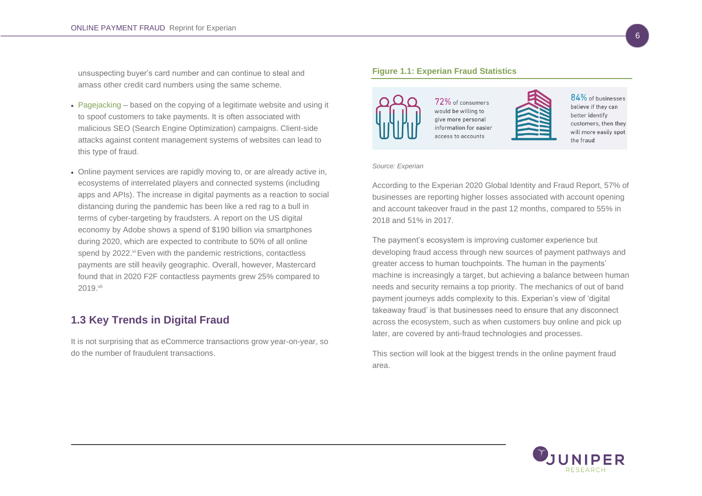unsuspecting buyer's card number and can continue to steal and amass other credit card numbers using the same scheme.

- Pagejacking based on the copying of a legitimate website and using it to spoof customers to take payments. It is often associated with malicious SEO (Search Engine Optimization) campaigns. Client-side attacks against content management systems of websites can lead to this type of fraud.
- Online payment services are rapidly moving to, or are already active in, ecosystems of interrelated players and connected systems (including apps and APIs). The increase in digital payments as a reaction to social distancing during the pandemic has been like a red rag to a bull in terms of cyber-targeting by fraudsters. A report on the US digital economy by Adobe shows a spend of \$190 billion via smartphones during 2020, which are expected to contribute to 50% of all online spend by 2022.<sup>vi</sup> Even with the pandemic restrictions, contactless payments are still heavily geographic. Overall, however, Mastercard found that in 2020 F2F contactless payments grew 25% compared to 2019.<sup>vii</sup>

## <span id="page-8-0"></span>**1.3 Key Trends in Digital Fraud**

It is not surprising that as eCommerce transactions grow year-on-year, so do the number of fraudulent transactions.

#### <span id="page-8-1"></span>**Figure 1.1: Experian Fraud Statistics**



72% of consumers would be willing to give more personal information for easier access to accounts



 $84\%$  of businesses believe if they can better identify customers, then they will more easily spot the fraud

#### *Source: Experian*

According to the Experian 2020 Global Identity and Fraud Report, 57% of businesses are reporting higher losses associated with account opening and account takeover fraud in the past 12 months, compared to 55% in 2018 and 51% in 2017.

The payment's ecosystem is improving customer experience but developing fraud access through new sources of payment pathways and greater access to human touchpoints. The human in the payments' machine is increasingly a target, but achieving a balance between human needs and security remains a top priority. The mechanics of out of band payment journeys adds complexity to this. Experian's view of 'digital takeaway fraud' is that businesses need to ensure that any disconnect across the ecosystem, such as when customers buy online and pick up later, are covered by anti-fraud technologies and processes.

This section will look at the biggest trends in the online payment fraud area.

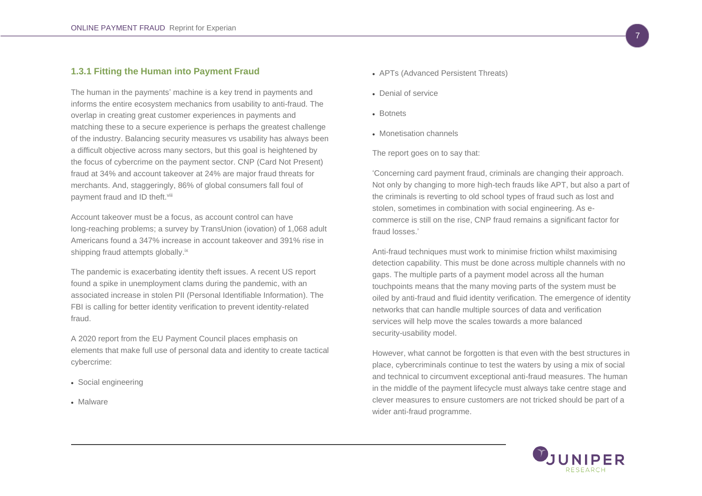## <span id="page-9-0"></span>**1.3.1 Fitting the Human into Payment Fraud**

The human in the payments' machine is a key trend in payments and informs the entire ecosystem mechanics from usability to anti-fraud. The overlap in creating great customer experiences in payments and matching these to a secure experience is perhaps the greatest challenge of the industry. Balancing security measures vs usability has always been a difficult objective across many sectors, but this goal is heightened by the focus of cybercrime on the payment sector. CNP (Card Not Present) fraud at 34% and account takeover at 24% are major fraud threats for merchants. And, staggeringly, 86% of global consumers fall foul of payment fraud and ID theft.<sup>viii</sup>

Account takeover must be a focus, as account control can have long-reaching problems; a survey by TransUnion (iovation) of 1,068 adult Americans found a 347% increase in account takeover and 391% rise in shipping fraud attempts globally.<sup>ix</sup>

The pandemic is exacerbating identity theft issues. A recent US report found a spike in unemployment clams during the pandemic, with an associated increase in stolen PII (Personal Identifiable Information). The FBI is calling for better identity verification to prevent identity-related fraud.

A 2020 report from the EU Payment Council places emphasis on elements that make full use of personal data and identity to create tactical cybercrime:

- Social engineering
- Malware
- APTs (Advanced Persistent Threats)
- Denial of service
- Botnets
- Monetisation channels

The report goes on to say that:

'Concerning card payment fraud, criminals are changing their approach. Not only by changing to more high-tech frauds like APT, but also a part of the criminals is reverting to old school types of fraud such as lost and stolen, sometimes in combination with social engineering. As ecommerce is still on the rise, CNP fraud remains a significant factor for fraud losses.'

Anti-fraud techniques must work to minimise friction whilst maximising detection capability. This must be done across multiple channels with no gaps. The multiple parts of a payment model across all the human touchpoints means that the many moving parts of the system must be oiled by anti-fraud and fluid identity verification. The emergence of identity networks that can handle multiple sources of data and verification services will help move the scales towards a more balanced security-usability model.

However, what cannot be forgotten is that even with the best structures in place, cybercriminals continue to test the waters by using a mix of social and technical to circumvent exceptional anti-fraud measures. The human in the middle of the payment lifecycle must always take centre stage and clever measures to ensure customers are not tricked should be part of a wider anti-fraud programme.

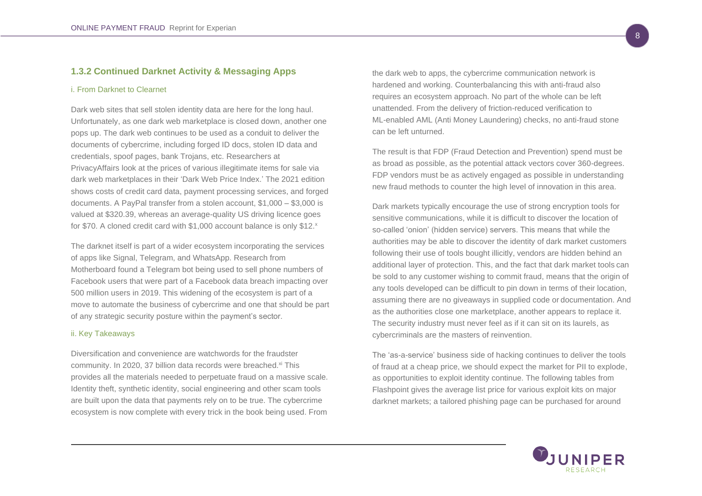## <span id="page-10-0"></span>**1.3.2 Continued Darknet Activity & Messaging Apps**

#### <span id="page-10-1"></span>i. From Darknet to Clearnet

Dark web sites that sell stolen identity data are here for the long haul. Unfortunately, as one dark web marketplace is closed down, another one pops up. The dark web continues to be used as a conduit to deliver the documents of cybercrime, including forged ID docs, stolen ID data and credentials, spoof pages, bank Trojans, etc. Researchers at PrivacyAffairs look at the prices of various illegitimate items for sale via dark web marketplaces in their 'Dark Web Price Index.' The 2021 edition shows costs of credit card data, payment processing services, and forged documents. A PayPal transfer from a stolen account, \$1,000 – \$3,000 is valued at \$320.39, whereas an average-quality US driving licence goes for \$70. A cloned credit card with \$1,000 account balance is only \$12.<sup>x</sup>

The darknet itself is part of a wider ecosystem incorporating the services of apps like Signal, Telegram, and WhatsApp. Research from Motherboard found a Telegram bot being used to sell phone numbers of Facebook users that were part of a Facebook data breach impacting over 500 million users in 2019. This widening of the ecosystem is part of a move to automate the business of cybercrime and one that should be part of any strategic security posture within the payment's sector.

## <span id="page-10-2"></span>ii. Key Takeaways

Diversification and convenience are watchwords for the fraudster community. In 2020, 37 billion data records were breached.<sup>xi</sup> This provides all the materials needed to perpetuate fraud on a massive scale. Identity theft, synthetic identity, social engineering and other scam tools are built upon the data that payments rely on to be true. The cybercrime ecosystem is now complete with every trick in the book being used. From

the dark web to apps, the cybercrime communication network is hardened and working. Counterbalancing this with anti-fraud also requires an ecosystem approach. No part of the whole can be left unattended. From the delivery of friction-reduced verification to ML-enabled AML (Anti Money Laundering) checks, no anti-fraud stone can be left unturned.

The result is that FDP (Fraud Detection and Prevention) spend must be as broad as possible, as the potential attack vectors cover 360-degrees. FDP vendors must be as actively engaged as possible in understanding new fraud methods to counter the high level of innovation in this area.

Dark markets typically encourage the use of strong encryption tools for sensitive communications, while it is difficult to discover the location of so-called 'onion' (hidden service) servers. This means that while the authorities may be able to discover the identity of dark market customers following their use of tools bought illicitly, vendors are hidden behind an additional layer of protection. This, and the fact that dark market tools can be sold to any customer wishing to commit fraud, means that the origin of any tools developed can be difficult to pin down in terms of their location, assuming there are no giveaways in supplied code or documentation. And as the authorities close one marketplace, another appears to replace it. The security industry must never feel as if it can sit on its laurels, as cybercriminals are the masters of reinvention.

The 'as-a-service' business side of hacking continues to deliver the tools of fraud at a cheap price, we should expect the market for PII to explode, as opportunities to exploit identity continue. The following tables from Flashpoint gives the average list price for various exploit kits on major darknet markets; a tailored phishing page can be purchased for around

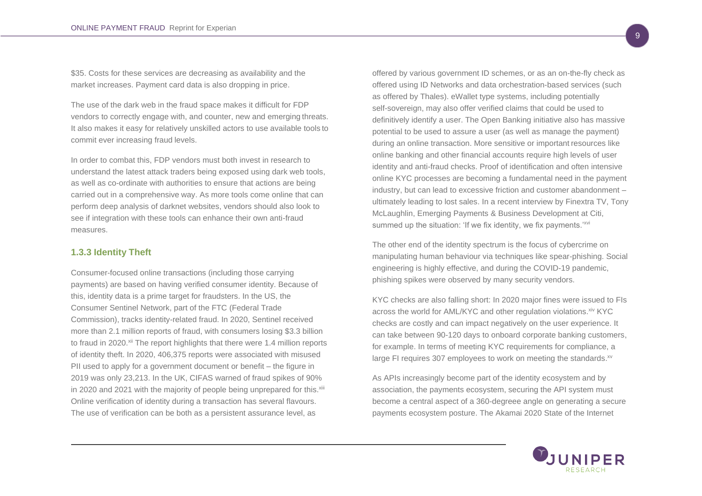\$35. Costs for these services are decreasing as availability and the market increases. Payment card data is also dropping in price.

The use of the dark web in the fraud space makes it difficult for FDP vendors to correctly engage with, and counter, new and emerging threats. It also makes it easy for relatively unskilled actors to use available tools to commit ever increasing fraud levels.

In order to combat this, FDP vendors must both invest in research to understand the latest attack traders being exposed using dark web tools, as well as co-ordinate with authorities to ensure that actions are being carried out in a comprehensive way. As more tools come online that can perform deep analysis of darknet websites, vendors should also look to see if integration with these tools can enhance their own anti-fraud measures.

## <span id="page-11-0"></span>**1.3.3 Identity Theft**

Consumer-focused online transactions (including those carrying payments) are based on having verified consumer identity. Because of this, identity data is a prime target for fraudsters. In the US, the Consumer Sentinel Network, part of the FTC (Federal Trade Commission), tracks identity-related fraud. In 2020, Sentinel received more than 2.1 million reports of fraud, with consumers losing \$3.3 billion to fraud in 2020.<sup>xii</sup> The report highlights that there were 1.4 million reports of identity theft. In 2020, 406,375 reports were associated with misused PII used to apply for a government document or benefit – the figure in 2019 was only 23,213. In the UK, CIFAS warned of fraud spikes of 90% in 2020 and 2021 with the majority of people being unprepared for this.<sup>xiii</sup> Online verification of identity during a transaction has several flavours. The use of verification can be both as a persistent assurance level, as

offered by various government ID schemes, or as an on-the-fly check as offered using ID Networks and data orchestration-based services (such as offered by Thales). eWallet type systems, including potentially self-sovereign, may also offer verified claims that could be used to definitively identify a user. The Open Banking initiative also has massive potential to be used to assure a user (as well as manage the payment) during an online transaction. More sensitive or important resources like online banking and other financial accounts require high levels of user identity and anti-fraud checks. Proof of identification and often intensive online KYC processes are becoming a fundamental need in the payment industry, but can lead to excessive friction and customer abandonment – ultimately leading to lost sales. In a recent interview by Finextra TV, Tony McLaughlin, Emerging Payments & Business Development at Citi, summed up the situation: 'If we fix identity, we fix payments.'<sup>xvi</sup>

The other end of the identity spectrum is the focus of cybercrime on manipulating human behaviour via techniques like spear-phishing. Social engineering is highly effective, and during the COVID-19 pandemic, phishing spikes were observed by many security vendors.

KYC checks are also falling short: In 2020 major fines were issued to FIs across the world for AML/KYC and other regulation violations. xiv KYC checks are costly and can impact negatively on the user experience. It can take between 90-120 days to onboard corporate banking customers, for example. In terms of meeting KYC requirements for compliance, a large FI requires 307 employees to work on meeting the standards.<sup>xv</sup>

As APIs increasingly become part of the identity ecosystem and by association, the payments ecosystem, securing the API system must become a central aspect of a 360-degreee angle on generating a secure payments ecosystem posture. The Akamai 2020 State of the Internet

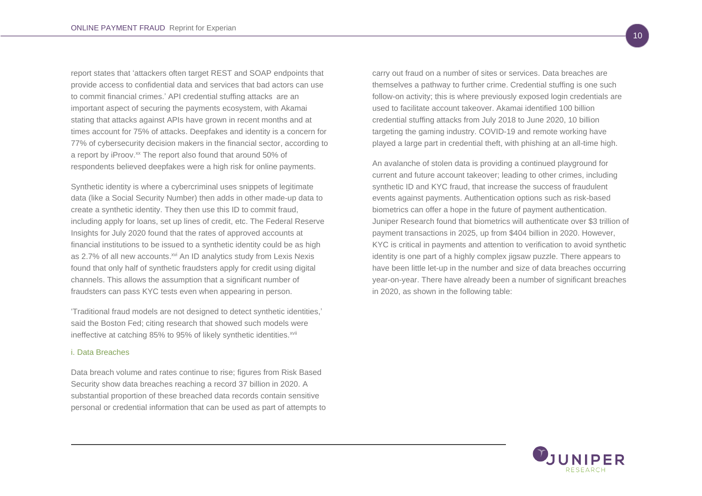report states that 'attackers often target REST and SOAP endpoints that provide access to confidential data and services that bad actors can use to commit financial crimes.' API credential stuffing attacks are an important aspect of securing the payments ecosystem, with Akamai stating that attacks against APIs have grown in recent months and at times account for 75% of attacks. Deepfakes and identity is a concern for 77% of cybersecurity decision makers in the financial sector, according to a report by iProov.<sup>xx</sup> The report also found that around 50% of respondents believed deepfakes were a high risk for online payments.

Synthetic identity is where a cybercriminal uses snippets of legitimate data (like a Social Security Number) then adds in other made-up data to create a synthetic identity. They then use this ID to commit fraud, including apply for loans, set up lines of credit, etc. The Federal Reserve Insights for July 2020 found that the rates of approved accounts at financial institutions to be issued to a synthetic identity could be as high as 2.7% of all new accounts.<sup>xvi</sup> An ID analytics study from Lexis Nexis found that only half of synthetic fraudsters apply for credit using digital channels. This allows the assumption that a significant number of fraudsters can pass KYC tests even when appearing in person.

'Traditional fraud models are not designed to detect synthetic identities,' said the Boston Fed; citing research that showed such models were ineffective at catching 85% to 95% of likely synthetic identities.<sup>xvii</sup>

#### <span id="page-12-0"></span>i. Data Breaches

Data breach volume and rates continue to rise; figures from Risk Based Security show data breaches reaching a record 37 billion in 2020. A substantial proportion of these breached data records contain sensitive personal or credential information that can be used as part of attempts to carry out fraud on a number of sites or services. Data breaches are themselves a pathway to further crime. Credential stuffing is one such follow-on activity; this is where previously exposed login credentials are used to facilitate account takeover. Akamai identified 100 billion credential stuffing attacks from July 2018 to June 2020, 10 billion targeting the gaming industry. COVID-19 and remote working have played a large part in credential theft, with phishing at an all-time high.

An avalanche of stolen data is providing a continued playground for current and future account takeover; leading to other crimes, including synthetic ID and KYC fraud, that increase the success of fraudulent events against payments. Authentication options such as risk-based biometrics can offer a hope in the future of payment authentication. Juniper Research found that biometrics will authenticate over \$3 trillion of payment transactions in 2025, up from \$404 billion in 2020. However, KYC is critical in payments and attention to verification to avoid synthetic identity is one part of a highly complex jigsaw puzzle. There appears to have been little let-up in the number and size of data breaches occurring year-on-year. There have already been a number of significant breaches in 2020, as shown in the following table:

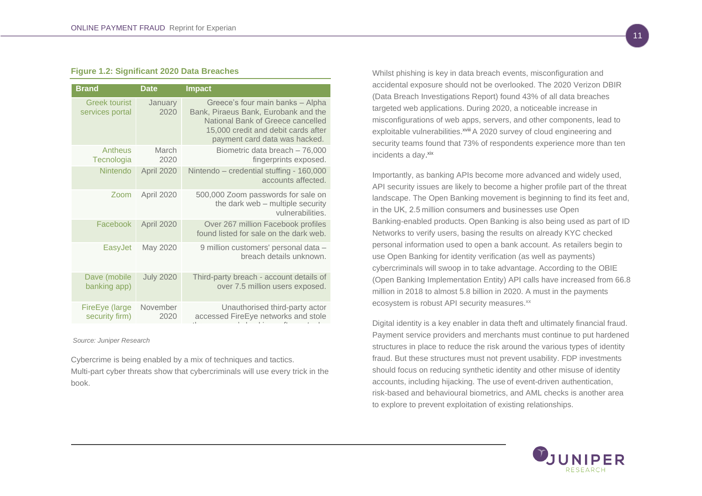#### <span id="page-13-0"></span>**Figure 1.2: Significant 2020 Data Breaches**

| <b>Brand</b>                            | <b>Date</b>      | <b>Impact</b>                                                                                                                                                                         |
|-----------------------------------------|------------------|---------------------------------------------------------------------------------------------------------------------------------------------------------------------------------------|
| <b>Greek tourist</b><br>services portal | January<br>2020  | Greece's four main banks - Alpha<br>Bank, Piraeus Bank, Eurobank and the<br>National Bank of Greece cancelled<br>15,000 credit and debit cards after<br>payment card data was hacked. |
| Antheus<br>Tecnologia                   | March<br>2020    | Biometric data breach - 76,000<br>fingerprints exposed.                                                                                                                               |
| Nintendo                                | April 2020       | Nintendo - credential stuffing - 160,000<br>accounts affected.                                                                                                                        |
| Zoom                                    | April 2020       | 500,000 Zoom passwords for sale on<br>the dark web - multiple security<br>vulnerabilities.                                                                                            |
| Facebook                                | April 2020       | Over 267 million Facebook profiles<br>found listed for sale on the dark web.                                                                                                          |
| EasyJet                                 | May 2020         | 9 million customers' personal data -<br>breach details unknown.                                                                                                                       |
| Dave (mobile<br>banking app)            | <b>July 2020</b> | Third-party breach - account details of<br>over 7.5 million users exposed.                                                                                                            |
| FireEye (large<br>security firm)        | November<br>2020 | Unauthorised third-party actor<br>accessed FireEye networks and stole                                                                                                                 |

*Source: Juniper Research*

Cybercrime is being enabled by a mix of techniques and tactics. Multi-part cyber threats show that cybercriminals will use every trick in the book.

Whilst phishing is key in data breach events, misconfiguration and accidental exposure should not be overlooked. The 2020 Verizon DBIR (Data Breach Investigations Report) found 43% of all data breaches targeted web applications. During 2020, a noticeable increase in misconfigurations of web apps, servers, and other components, lead to exploitable vulnerabilities.<sup>xviii</sup> A 2020 survey of cloud engineering and security teams found that 73% of respondents experience more than ten incidents a day. xix

Importantly, as banking APIs become more advanced and widely used, API security issues are likely to become a higher profile part of the threat landscape. The Open Banking movement is beginning to find its feet and, in the UK, 2.5 million consumers and businesses use Open Banking-enabled products. Open Banking is also being used as part of ID Networks to verify users, basing the results on already KYC checked personal information used to open a bank account. As retailers begin to use Open Banking for identity verification (as well as payments) cybercriminals will swoop in to take advantage. According to the OBIE (Open Banking Implementation Entity) API calls have increased from 66.8 million in 2018 to almost 5.8 billion in 2020. A must in the payments ecosystem is robust API security measures.<sup>xx</sup>

Digital identity is a key enabler in data theft and ultimately financial fraud. Payment service providers and merchants must continue to put hardened structures in place to reduce the risk around the various types of identity fraud. But these structures must not prevent usability. FDP investments should focus on reducing synthetic identity and other misuse of identity accounts, including hijacking. The use of event-driven authentication, risk-based and behavioural biometrics, and AML checks is another area to explore to prevent exploitation of existing relationships.

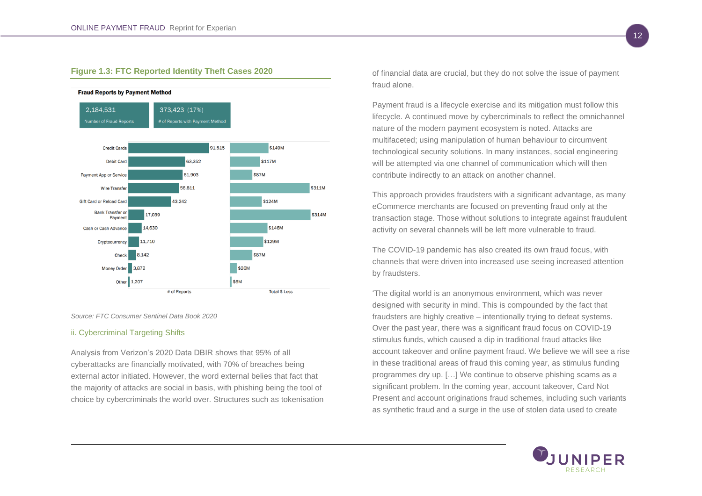## <span id="page-14-0"></span>**Figure 1.3: FTC Reported Identity Theft Cases 2020**



#### **Fraud Reports by Payment Method**

*Source: FTC Consumer Sentinel Data Book 2020*

## <span id="page-14-1"></span>ii. Cybercriminal Targeting Shifts

Analysis from Verizon's 2020 Data DBIR shows that 95% of all cyberattacks are financially motivated, with 70% of breaches being external actor initiated. However, the word external belies that fact that the majority of attacks are social in basis, with phishing being the tool of choice by cybercriminals the world over. Structures such as tokenisation of financial data are crucial, but they do not solve the issue of payment fraud alone.

Payment fraud is a lifecycle exercise and its mitigation must follow this lifecycle. A continued move by cybercriminals to reflect the omnichannel nature of the modern payment ecosystem is noted. Attacks are multifaceted; using manipulation of human behaviour to circumvent technological security solutions. In many instances, social engineering will be attempted via one channel of communication which will then contribute indirectly to an attack on another channel.

This approach provides fraudsters with a significant advantage, as many eCommerce merchants are focused on preventing fraud only at the transaction stage. Those without solutions to integrate against fraudulent activity on several channels will be left more vulnerable to fraud.

The COVID-19 pandemic has also created its own fraud focus, with channels that were driven into increased use seeing increased attention by fraudsters.

'The digital world is an anonymous environment, which was never designed with security in mind. This is compounded by the fact that fraudsters are highly creative – intentionally trying to defeat systems. Over the past year, there was a significant fraud focus on COVID-19 stimulus funds, which caused a dip in traditional fraud attacks like account takeover and online payment fraud. We believe we will see a rise in these traditional areas of fraud this coming year, as stimulus funding programmes dry up. […] We continue to observe phishing scams as a significant problem. In the coming year, account takeover, Card Not Present and account originations fraud schemes, including such variants as synthetic fraud and a surge in the use of stolen data used to create

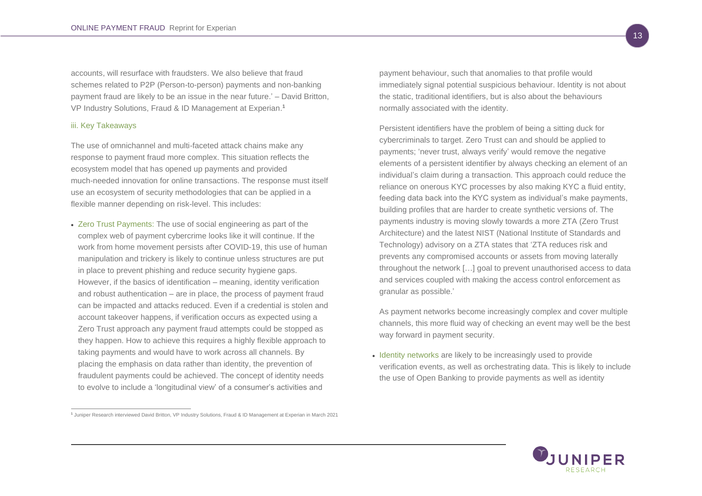accounts, will resurface with fraudsters. We also believe that fraud schemes related to P2P (Person-to-person) payments and non-banking payment fraud are likely to be an issue in the near future.' – David Britton, VP Industry Solutions, Fraud & ID Management at Experian. **1**

## <span id="page-15-0"></span>iii. Key Takeaways

The use of omnichannel and multi-faceted attack chains make any response to payment fraud more complex. This situation reflects the ecosystem model that has opened up payments and provided much-needed innovation for online transactions. The response must itself use an ecosystem of security methodologies that can be applied in a flexible manner depending on risk-level. This includes:

• Zero Trust Payments: The use of social engineering as part of the complex web of payment cybercrime looks like it will continue. If the work from home movement persists after COVID-19, this use of human manipulation and trickery is likely to continue unless structures are put in place to prevent phishing and reduce security hygiene gaps. However, if the basics of identification – meaning, identity verification and robust authentication – are in place, the process of payment fraud can be impacted and attacks reduced. Even if a credential is stolen and account takeover happens, if verification occurs as expected using a Zero Trust approach any payment fraud attempts could be stopped as they happen. How to achieve this requires a highly flexible approach to taking payments and would have to work across all channels. By placing the emphasis on data rather than identity, the prevention of fraudulent payments could be achieved. The concept of identity needs to evolve to include a 'longitudinal view' of a consumer's activities and

**1** Juniper Research interviewed David Britton, VP Industry Solutions, Fraud & ID Management at Experian in March 2021

payment behaviour, such that anomalies to that profile would immediately signal potential suspicious behaviour. Identity is not about the static, traditional identifiers, but is also about the behaviours normally associated with the identity.

Persistent identifiers have the problem of being a sitting duck for cybercriminals to target. Zero Trust can and should be applied to payments; 'never trust, always verify' would remove the negative elements of a persistent identifier by always checking an element of an individual's claim during a transaction. This approach could reduce the reliance on onerous KYC processes by also making KYC a fluid entity, feeding data back into the KYC system as individual's make payments, building profiles that are harder to create synthetic versions of. The payments industry is moving slowly towards a more ZTA (Zero Trust Architecture) and the latest NIST (National Institute of Standards and Technology) advisory on a ZTA states that 'ZTA reduces risk and prevents any compromised accounts or assets from moving laterally throughout the network […] goal to prevent unauthorised access to data and services coupled with making the access control enforcement as granular as possible.'

As payment networks become increasingly complex and cover multiple channels, this more fluid way of checking an event may well be the best way forward in payment security.

• Identity networks are likely to be increasingly used to provide verification events, as well as orchestrating data. This is likely to include the use of Open Banking to provide payments as well as identity

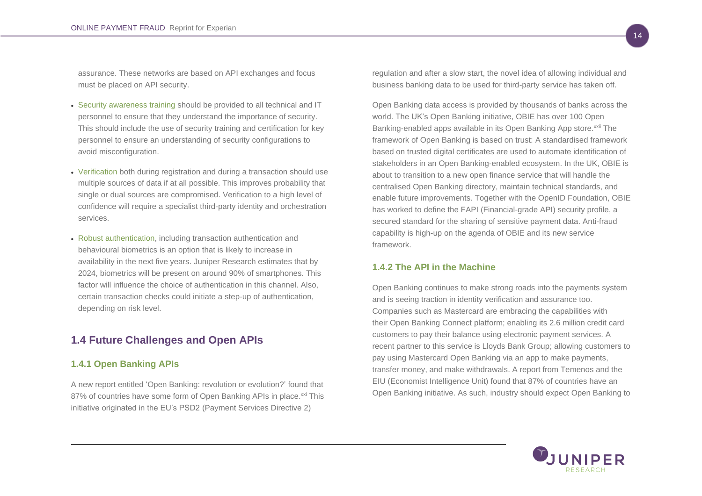assurance. These networks are based on API exchanges and focus must be placed on API security.

- Security awareness training should be provided to all technical and IT personnel to ensure that they understand the importance of security. This should include the use of security training and certification for key personnel to ensure an understanding of security configurations to avoid misconfiguration.
- Verification both during registration and during a transaction should use multiple sources of data if at all possible. This improves probability that single or dual sources are compromised. Verification to a high level of confidence will require a specialist third-party identity and orchestration services.
- Robust authentication, including transaction authentication and behavioural biometrics is an option that is likely to increase in availability in the next five years. Juniper Research estimates that by 2024, biometrics will be present on around 90% of smartphones. This factor will influence the choice of authentication in this channel. Also, certain transaction checks could initiate a step-up of authentication, depending on risk level.

## <span id="page-16-0"></span>**1.4 Future Challenges and Open APIs**

## <span id="page-16-1"></span>**1.4.1 Open Banking APIs**

A new report entitled 'Open Banking: revolution or evolution?' found that 87% of countries have some form of Open Banking APIs in place.<sup>xxi</sup> This initiative originated in the EU's PSD2 (Payment Services Directive 2)

regulation and after a slow start, the novel idea of allowing individual and business banking data to be used for third-party service has taken off.

Open Banking data access is provided by thousands of banks across the world. The UK's Open Banking initiative, OBIE has over 100 Open Banking-enabled apps available in its Open Banking App store.<sup>xxii</sup> The framework of Open Banking is based on trust: A standardised framework based on trusted digital certificates are used to automate identification of stakeholders in an Open Banking-enabled ecosystem. In the UK, OBIE is about to transition to a new open finance service that will handle the centralised Open Banking directory, maintain technical standards, and enable future improvements. Together with the OpenID Foundation, OBIE has worked to define the FAPI (Financial-grade API) security profile, a secured standard for the sharing of sensitive payment data. Anti-fraud capability is high-up on the agenda of OBIE and its new service framework.

## <span id="page-16-2"></span>**1.4.2 The API in the Machine**

Open Banking continues to make strong roads into the payments system and is seeing traction in identity verification and assurance too. Companies such as Mastercard are embracing the capabilities with their Open Banking Connect platform; enabling its 2.6 million credit card customers to pay their balance using electronic payment services. A recent partner to this service is Lloyds Bank Group; allowing customers to pay using Mastercard Open Banking via an app to make payments, transfer money, and make withdrawals. A report from Temenos and the EIU (Economist Intelligence Unit) found that 87% of countries have an Open Banking initiative. As such, industry should expect Open Banking to

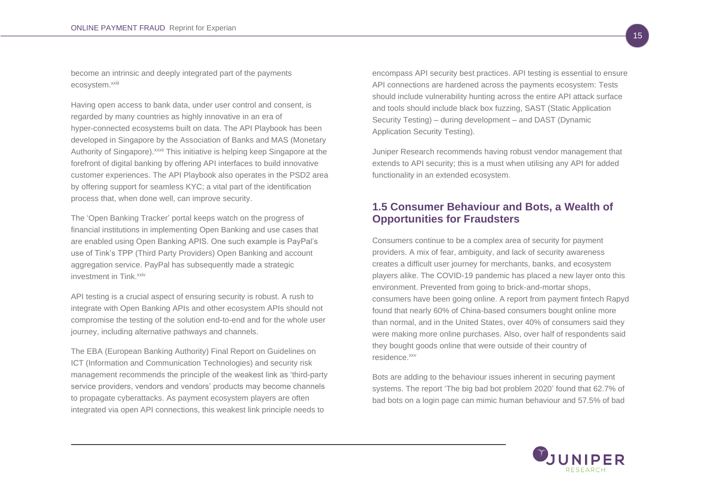become an intrinsic and deeply integrated part of the payments ecosystem.<sup>xxiii</sup>

Having open access to bank data, under user control and consent, is regarded by many countries as highly innovative in an era of hyper-connected ecosystems built on data. The API Playbook has been developed in Singapore by the Association of Banks and MAS (Monetary Authority of Singapore). *xxxii* This initiative is helping keep Singapore at the forefront of digital banking by offering API interfaces to build innovative customer experiences. The API Playbook also operates in the PSD2 area by offering support for seamless KYC; a vital part of the identification process that, when done well, can improve security.

The 'Open Banking Tracker' portal keeps watch on the progress of financial institutions in implementing Open Banking and use cases that are enabled using Open Banking APIS. One such example is PayPal's use of Tink's TPP (Third Party Providers) Open Banking and account aggregation service. PayPal has subsequently made a strategic investment in Tink \*\*\*

API testing is a crucial aspect of ensuring security is robust. A rush to integrate with Open Banking APIs and other ecosystem APIs should not compromise the testing of the solution end-to-end and for the whole user journey, including alternative pathways and channels.

The EBA (European Banking Authority) Final Report on Guidelines on ICT (Information and Communication Technologies) and security risk management recommends the principle of the weakest link as 'third-party service providers, vendors and vendors' products may become channels to propagate cyberattacks. As payment ecosystem players are often integrated via open API connections, this weakest link principle needs to

encompass API security best practices. API testing is essential to ensure API connections are hardened across the payments ecosystem: Tests should include vulnerability hunting across the entire API attack surface and tools should include black box fuzzing, SAST (Static Application Security Testing) – during development – and DAST (Dynamic Application Security Testing).

Juniper Research recommends having robust vendor management that extends to API security; this is a must when utilising any API for added functionality in an extended ecosystem.

## <span id="page-17-0"></span>**1.5 Consumer Behaviour and Bots, a Wealth of Opportunities for Fraudsters**

Consumers continue to be a complex area of security for payment providers. A mix of fear, ambiguity, and lack of security awareness creates a difficult user journey for merchants, banks, and ecosystem players alike. The COVID-19 pandemic has placed a new layer onto this environment. Prevented from going to brick-and-mortar shops, consumers have been going online. A report from payment fintech Rapyd found that nearly 60% of China-based consumers bought online more than normal, and in the United States, over 40% of consumers said they were making more online purchases. Also, over half of respondents said they bought goods online that were outside of their country of residence.xxv

Bots are adding to the behaviour issues inherent in securing payment systems. The report 'The big bad bot problem 2020' found that 62.7% of bad bots on a login page can mimic human behaviour and 57.5% of bad

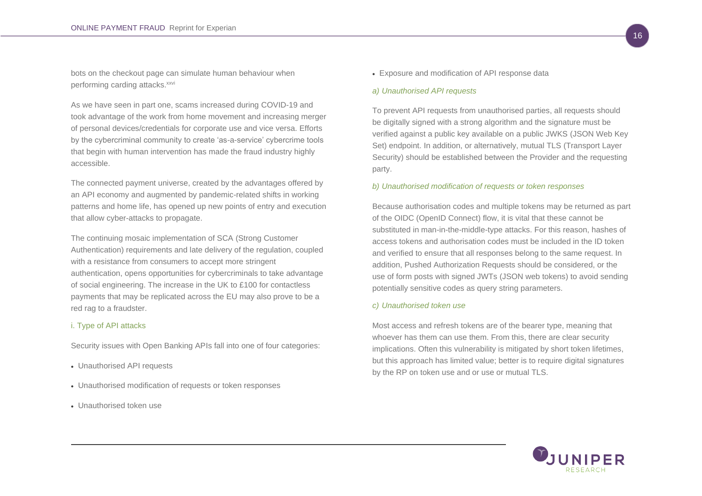bots on the checkout page can simulate human behaviour when performing carding attacks.<sup>xxvi</sup>

As we have seen in part one, scams increased during COVID-19 and took advantage of the work from home movement and increasing merger of personal devices/credentials for corporate use and vice versa. Efforts by the cybercriminal community to create 'as-a-service' cybercrime tools that begin with human intervention has made the fraud industry highly accessible.

The connected payment universe, created by the advantages offered by an API economy and augmented by pandemic-related shifts in working patterns and home life, has opened up new points of entry and execution that allow cyber-attacks to propagate.

The continuing mosaic implementation of SCA (Strong Customer Authentication) requirements and late delivery of the regulation, coupled with a resistance from consumers to accept more stringent authentication, opens opportunities for cybercriminals to take advantage of social engineering. The increase in the UK to £100 for contactless payments that may be replicated across the EU may also prove to be a red rag to a fraudster.

#### <span id="page-18-0"></span>i. Type of API attacks

Security issues with Open Banking APIs fall into one of four categories:

- Unauthorised API requests
- Unauthorised modification of requests or token responses
- Unauthorised token use

• Exposure and modification of API response data

#### *a) Unauthorised API requests*

To prevent API requests from unauthorised parties, all requests should be digitally signed with a strong algorithm and the signature must be verified against a public key available on a public JWKS (JSON Web Key Set) endpoint. In addition, or alternatively, mutual TLS (Transport Layer Security) should be established between the Provider and the requesting party.

#### *b) Unauthorised modification of requests or token responses*

Because authorisation codes and multiple tokens may be returned as part of the OIDC (OpenID Connect) flow, it is vital that these cannot be substituted in man-in-the-middle-type attacks. For this reason, hashes of access tokens and authorisation codes must be included in the ID token and verified to ensure that all responses belong to the same request. In addition, Pushed Authorization Requests should be considered, or the use of form posts with signed JWTs (JSON web tokens) to avoid sending potentially sensitive codes as query string parameters.

#### *c) Unauthorised token use*

Most access and refresh tokens are of the bearer type, meaning that whoever has them can use them. From this, there are clear security implications. Often this vulnerability is mitigated by short token lifetimes, but this approach has limited value; better is to require digital signatures by the RP on token use and or use or mutual TLS.

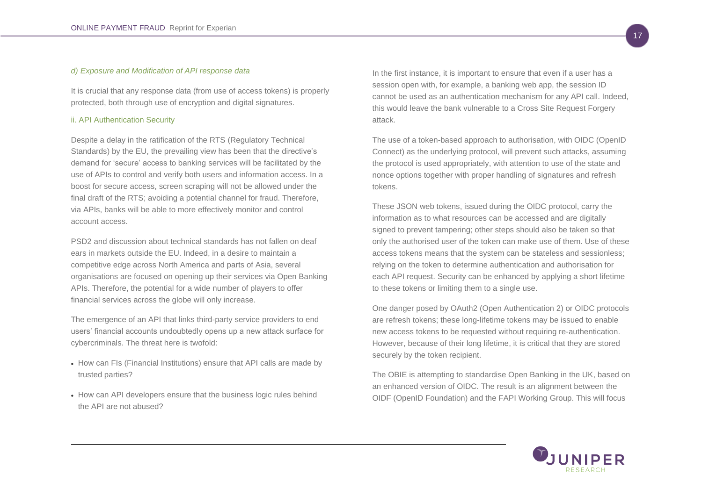## *d) Exposure and Modification of API response data*

It is crucial that any response data (from use of access tokens) is properly protected, both through use of encryption and digital signatures.

## <span id="page-19-0"></span>ii. API Authentication Security

Despite a delay in the ratification of the RTS (Regulatory Technical Standards) by the EU, the prevailing view has been that the directive's demand for 'secure' access to banking services will be facilitated by the use of APIs to control and verify both users and information access. In a boost for secure access, screen scraping will not be allowed under the final draft of the RTS; avoiding a potential channel for fraud. Therefore, via APIs, banks will be able to more effectively monitor and control account access.

PSD2 and discussion about technical standards has not fallen on deaf ears in markets outside the EU. Indeed, in a desire to maintain a competitive edge across North America and parts of Asia, several organisations are focused on opening up their services via Open Banking APIs. Therefore, the potential for a wide number of players to offer financial services across the globe will only increase.

The emergence of an API that links third-party service providers to end users' financial accounts undoubtedly opens up a new attack surface for cybercriminals. The threat here is twofold:

- How can FIs (Financial Institutions) ensure that API calls are made by trusted parties?
- How can API developers ensure that the business logic rules behind the API are not abused?

In the first instance, it is important to ensure that even if a user has a session open with, for example, a banking web app, the session ID cannot be used as an authentication mechanism for any API call. Indeed, this would leave the bank vulnerable to a Cross Site Request Forgery attack.

The use of a token-based approach to authorisation, with OIDC (OpenID Connect) as the underlying protocol, will prevent such attacks, assuming the protocol is used appropriately, with attention to use of the state and nonce options together with proper handling of signatures and refresh tokens.

These JSON web tokens, issued during the OIDC protocol, carry the information as to what resources can be accessed and are digitally signed to prevent tampering; other steps should also be taken so that only the authorised user of the token can make use of them. Use of these access tokens means that the system can be stateless and sessionless; relying on the token to determine authentication and authorisation for each API request. Security can be enhanced by applying a short lifetime to these tokens or limiting them to a single use.

One danger posed by OAuth2 (Open Authentication 2) or OIDC protocols are refresh tokens; these long-lifetime tokens may be issued to enable new access tokens to be requested without requiring re-authentication. However, because of their long lifetime, it is critical that they are stored securely by the token recipient.

The OBIE is attempting to standardise Open Banking in the UK, based on an enhanced version of OIDC. The result is an alignment between the OIDF (OpenID Foundation) and the FAPI Working Group. This will focus

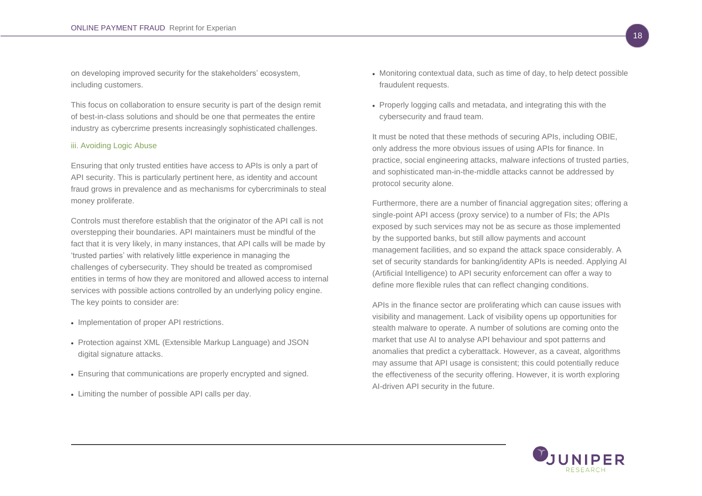on developing improved security for the stakeholders' ecosystem, including customers.

This focus on collaboration to ensure security is part of the design remit of best-in-class solutions and should be one that permeates the entire industry as cybercrime presents increasingly sophisticated challenges.

#### <span id="page-20-0"></span>iii. Avoiding Logic Abuse

Ensuring that only trusted entities have access to APIs is only a part of API security. This is particularly pertinent here, as identity and account fraud grows in prevalence and as mechanisms for cybercriminals to steal money proliferate.

Controls must therefore establish that the originator of the API call is not overstepping their boundaries. API maintainers must be mindful of the fact that it is very likely, in many instances, that API calls will be made by 'trusted parties' with relatively little experience in managing the challenges of cybersecurity. They should be treated as compromised entities in terms of how they are monitored and allowed access to internal services with possible actions controlled by an underlying policy engine. The key points to consider are:

- Implementation of proper API restrictions.
- Protection against XML (Extensible Markup Language) and JSON digital signature attacks.
- Ensuring that communications are properly encrypted and signed.
- Limiting the number of possible API calls per day.
- Monitoring contextual data, such as time of day, to help detect possible fraudulent requests.
- Properly logging calls and metadata, and integrating this with the cybersecurity and fraud team.

It must be noted that these methods of securing APIs, including OBIE, only address the more obvious issues of using APIs for finance. In practice, social engineering attacks, malware infections of trusted parties, and sophisticated man-in-the-middle attacks cannot be addressed by protocol security alone.

Furthermore, there are a number of financial aggregation sites; offering a single-point API access (proxy service) to a number of FIs; the APIs exposed by such services may not be as secure as those implemented by the supported banks, but still allow payments and account management facilities, and so expand the attack space considerably. A set of security standards for banking/identity APIs is needed. Applying AI (Artificial Intelligence) to API security enforcement can offer a way to define more flexible rules that can reflect changing conditions.

APIs in the finance sector are proliferating which can cause issues with visibility and management. Lack of visibility opens up opportunities for stealth malware to operate. A number of solutions are coming onto the market that use AI to analyse API behaviour and spot patterns and anomalies that predict a cyberattack. However, as a caveat, algorithms may assume that API usage is consistent; this could potentially reduce the effectiveness of the security offering. However, it is worth exploring AI-driven API security in the future.

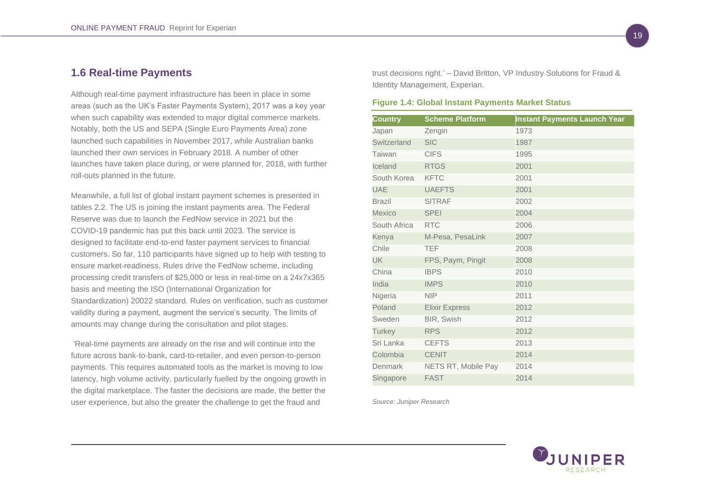## <span id="page-21-0"></span>**1.6 Real-time Payments**

Although real-time payment infrastructure has been in place in some areas (such as the UK's Faster Payments System), 2017 was a key year when such capability was extended to major digital commerce markets. Notably, both the US and SEPA (Single Euro Payments Area) zone launched such capabilities in November 2017, while Australian banks launched their own services in February 2018. A number of other launches have taken place during, or were planned for, 2018, with further roll-outs planned in the future.

Meanwhile, a full list of global instant payment schemes is presented in tables 2.2. The US is joining the instant payments area. The Federal Reserve was due to launch the FedNow service in 2021 but the COVID-19 pandemic has put this back until 2023. The service is designed to facilitate end-to-end faster payment services to financial customers. So far, 110 participants have signed up to help with testing to ensure market-readiness. Rules drive the FedNow scheme, including processing credit transfers of \$25,000 or less in real-time on a 24x7x365 basis and meeting the ISO (International Organization for Standardization) 20022 standard. Rules on verification, such as customer validity during a payment, augment the service's security. The limits of amounts may change during the consultation and pilot stages.

'Real-time payments are already on the rise and will continue into the future across bank-to-bank, card-to-retailer, and even person-to-person payments. This requires automated tools as the market is moving to low latency, high volume activity, particularly fuelled by the ongoing growth in the digital marketplace. The faster the decisions are made, the better the user experience, but also the greater the challenge to get the fraud and

trust decisions right.' – David Britton, VP Industry Solutions for Fraud & Identity Management, Experian.

#### <span id="page-21-1"></span>**Figure 1.4: Global Instant Payments Market Status**

| <b>Country</b> | <b>Scheme Platform</b> | <b>Instant Payments Launch Year</b> |
|----------------|------------------------|-------------------------------------|
| Japan          | Zengin                 | 1973                                |
| Switzerland    | <b>SIC</b>             | 1987                                |
| Taiwan         | <b>CIFS</b>            | 1995                                |
| Iceland        | <b>RTGS</b>            | 2001                                |
| South Korea    | <b>KFTC</b>            | 2001                                |
| <b>UAE</b>     | <b>UAEFTS</b>          | 2001                                |
| Brazil         | <b>SITRAF</b>          | 2002                                |
| <b>Mexico</b>  | <b>SPEI</b>            | 2004                                |
| South Africa   | <b>RTC</b>             | 2006                                |
| Kenya          | M-Pesa, PesaLink       | 2007                                |
| Chile          | <b>TEF</b>             | 2008                                |
| <b>UK</b>      | FPS, Paym, Pingit      | 2008                                |
| China          | <b>IBPS</b>            | 2010                                |
| India          | <b>IMPS</b>            | 2010                                |
| Nigeria        | <b>NIP</b>             | 2011                                |
| Poland         | <b>Elixir Express</b>  | 2012                                |
| Sweden         | <b>BIR, Swish</b>      | 2012                                |
| <b>Turkey</b>  | <b>RPS</b>             | 2012                                |
| Sri Lanka      | <b>CEFTS</b>           | 2013                                |
| Colombia       | <b>CENIT</b>           | 2014                                |
| Denmark        | NETS RT, Mobile Pay    | 2014                                |
| Singapore      | <b>FAST</b>            | 2014                                |

*Source: Juniper Research*

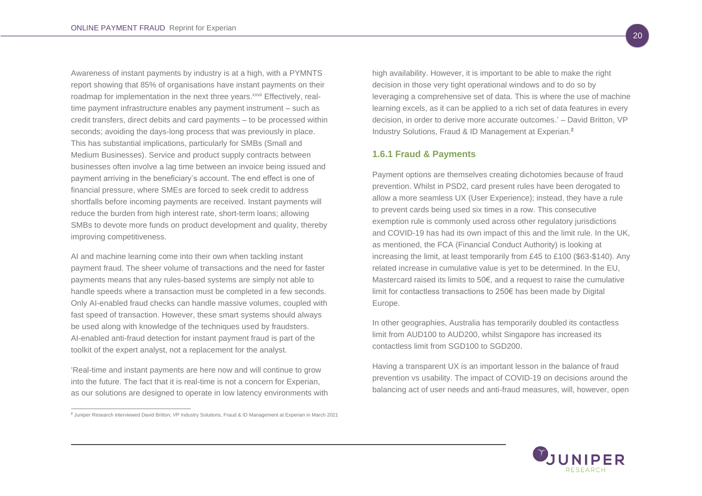Awareness of instant payments by industry is at a high, with a PYMNTS report showing that 85% of organisations have instant payments on their roadmap for implementation in the next three years.<sup>xxvii</sup> Effectively, realtime payment infrastructure enables any payment instrument – such as credit transfers, direct debits and card payments – to be processed within seconds; avoiding the days-long process that was previously in place. This has substantial implications, particularly for SMBs (Small and Medium Businesses). Service and product supply contracts between businesses often involve a lag time between an invoice being issued and payment arriving in the beneficiary's account. The end effect is one of financial pressure, where SMEs are forced to seek credit to address shortfalls before incoming payments are received. Instant payments will reduce the burden from high interest rate, short-term loans; allowing SMBs to devote more funds on product development and quality, thereby improving competitiveness.

AI and machine learning come into their own when tackling instant payment fraud. The sheer volume of transactions and the need for faster payments means that any rules-based systems are simply not able to handle speeds where a transaction must be completed in a few seconds. Only AI-enabled fraud checks can handle massive volumes, coupled with fast speed of transaction. However, these smart systems should always be used along with knowledge of the techniques used by fraudsters. AI-enabled anti-fraud detection for instant payment fraud is part of the toolkit of the expert analyst, not a replacement for the analyst.

'Real-time and instant payments are here now and will continue to grow into the future. The fact that it is real-time is not a concern for Experian, as our solutions are designed to operate in low latency environments with high availability. However, it is important to be able to make the right decision in those very tight operational windows and to do so by leveraging a comprehensive set of data. This is where the use of machine learning excels, as it can be applied to a rich set of data features in every decision, in order to derive more accurate outcomes.' – David Britton, VP Industry Solutions, Fraud & ID Management at Experian.**<sup>2</sup>**

## <span id="page-22-0"></span>**1.6.1 Fraud & Payments**

Payment options are themselves creating dichotomies because of fraud prevention. Whilst in PSD2, card present rules have been derogated to allow a more seamless UX (User Experience); instead, they have a rule to prevent cards being used six times in a row. This consecutive exemption rule is commonly used across other regulatory jurisdictions and COVID-19 has had its own impact of this and the limit rule. In the UK, as mentioned, the FCA (Financial Conduct Authority) is looking at increasing the limit, at least temporarily from £45 to £100 (\$63-\$140). Any related increase in cumulative value is yet to be determined. In the EU, Mastercard raised its limits to 50€, and a request to raise the cumulative limit for contactless transactions to 250€ has been made by Digital Europe.

In other geographies, Australia has temporarily doubled its contactless limit from AUD100 to AUD200, whilst Singapore has increased its contactless limit from SGD100 to SGD200.

Having a transparent UX is an important lesson in the balance of fraud prevention vs usability. The impact of COVID-19 on decisions around the balancing act of user needs and anti-fraud measures, will, however, open



**<sup>2</sup>** Juniper Research interviewed David Britton, VP Industry Solutions, Fraud & ID Management at Experian in March 2021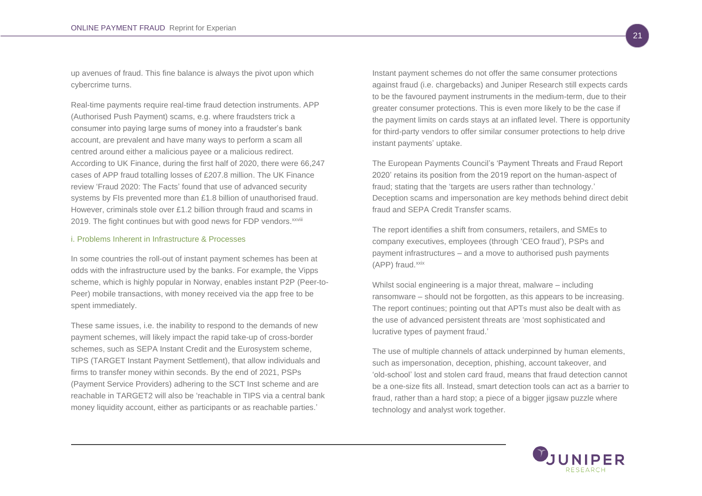up avenues of fraud. This fine balance is always the pivot upon which cybercrime turns.

Real-time payments require real-time fraud detection instruments. APP (Authorised Push Payment) scams, e.g. where fraudsters trick a consumer into paying large sums of money into a fraudster's bank account, are prevalent and have many ways to perform a scam all centred around either a malicious payee or a malicious redirect. According to UK Finance, during the first half of 2020, there were 66,247 cases of APP fraud totalling losses of £207.8 million. The UK Finance review 'Fraud 2020: The Facts' found that use of advanced security systems by FIs prevented more than £1.8 billion of unauthorised fraud. However, criminals stole over £1.2 billion through fraud and scams in 2019. The fight continues but with good news for FDP vendors. XXVIII

#### <span id="page-23-0"></span>i. Problems Inherent in Infrastructure & Processes

In some countries the roll-out of instant payment schemes has been at odds with the infrastructure used by the banks. For example, the Vipps scheme, which is highly popular in Norway, enables instant P2P (Peer-to-Peer) mobile transactions, with money received via the app free to be spent immediately.

These same issues, i.e. the inability to respond to the demands of new payment schemes, will likely impact the rapid take-up of cross-border schemes, such as SEPA Instant Credit and the Eurosystem scheme, TIPS (TARGET Instant Payment Settlement), that allow individuals and firms to transfer money within seconds. By the end of 2021, PSPs (Payment Service Providers) adhering to the SCT Inst scheme and are reachable in TARGET2 will also be 'reachable in TIPS via a central bank money liquidity account, either as participants or as reachable parties.'

Instant payment schemes do not offer the same consumer protections against fraud (i.e. chargebacks) and Juniper Research still expects cards to be the favoured payment instruments in the medium-term, due to their greater consumer protections. This is even more likely to be the case if the payment limits on cards stays at an inflated level. There is opportunity for third-party vendors to offer similar consumer protections to help drive instant payments' uptake.

The European Payments Council's 'Payment Threats and Fraud Report 2020' retains its position from the 2019 report on the human-aspect of fraud; stating that the 'targets are users rather than technology.' Deception scams and impersonation are key methods behind direct debit fraud and SEPA Credit Transfer scams.

The report identifies a shift from consumers, retailers, and SMEs to company executives, employees (through 'CEO fraud'), PSPs and payment infrastructures – and a move to authorised push payments  $(APP)$  fraud. $x$ xix

Whilst social engineering is a major threat, malware – including ransomware – should not be forgotten, as this appears to be increasing. The report continues; pointing out that APTs must also be dealt with as the use of advanced persistent threats are 'most sophisticated and lucrative types of payment fraud.'

The use of multiple channels of attack underpinned by human elements, such as impersonation, deception, phishing, account takeover, and 'old-school' lost and stolen card fraud, means that fraud detection cannot be a one-size fits all. Instead, smart detection tools can act as a barrier to fraud, rather than a hard stop; a piece of a bigger jigsaw puzzle where technology and analyst work together.

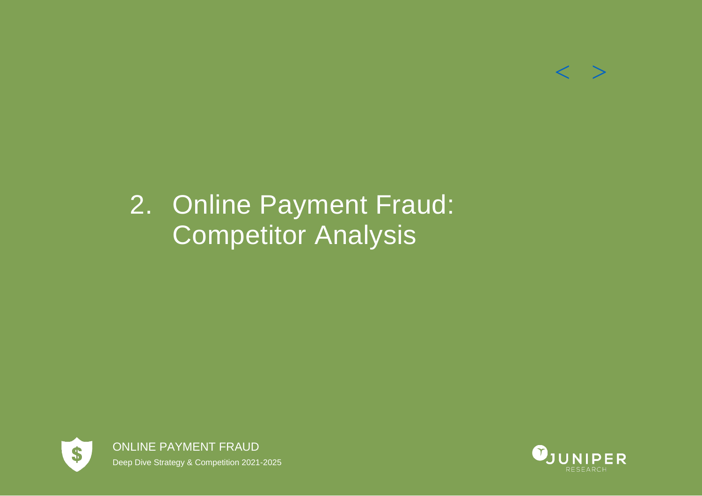

# <span id="page-24-0"></span>2. Online Payment Fraud: Competitor Analysis



ONLINE PAYMENT FRAUD Deep Dive Strategy & Competition 2021-2025

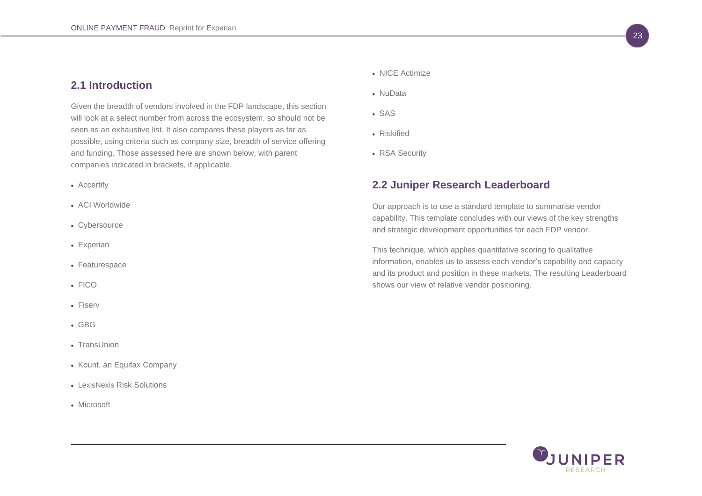## <span id="page-25-0"></span>**2.1 Introduction**

Given the breadth of vendors involved in the FDP landscape, this section will look at a select number from across the ecosystem, so should not be seen as an exhaustive list. It also compares these players as far as possible; using criteria such as company size, breadth of service offering and funding. Those assessed here are shown below, with parent companies indicated in brackets, if applicable.

- Accertify
- ACI Worldwide
- Cybersource
- Experian
- Featurespace
- FICO
- Fiserv
- GBG
- TransUnion
- Kount, an Equifax Company
- LexisNexis Risk Solutions
- Microsoft
- NICE Actimize
- NuData
- SAS
- Riskified
- RSA Security

## <span id="page-25-1"></span>**2.2 Juniper Research Leaderboard**

Our approach is to use a standard template to summarise vendor capability. This template concludes with our views of the key strengths and strategic development opportunities for each FDP vendor.

This technique, which applies quantitative scoring to qualitative information, enables us to assess each vendor's capability and capacity and its product and position in these markets. The resulting Leaderboard shows our view of relative vendor positioning.

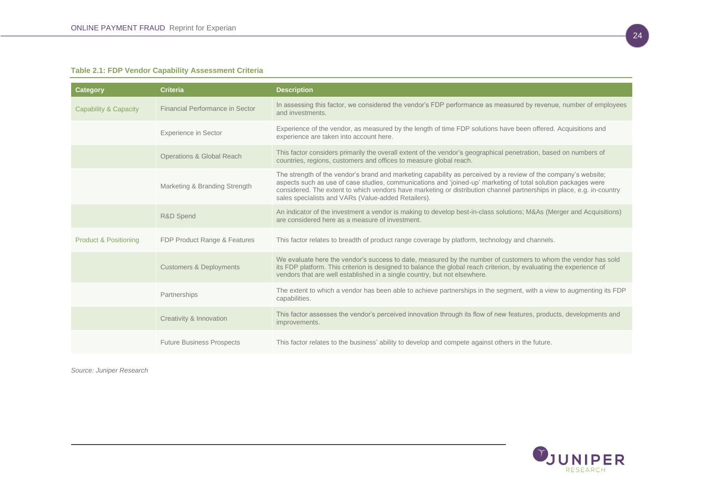## <span id="page-26-0"></span>**Table 2.1: FDP Vendor Capability Assessment Criteria**

| <b>Category</b>                  | <b>Criteria</b>                      | <b>Description</b>                                                                                                                                                                                                                                                                                                                                                                                              |
|----------------------------------|--------------------------------------|-----------------------------------------------------------------------------------------------------------------------------------------------------------------------------------------------------------------------------------------------------------------------------------------------------------------------------------------------------------------------------------------------------------------|
| Capability & Capacity            | Financial Performance in Sector      | In assessing this factor, we considered the vendor's FDP performance as measured by revenue, number of employees<br>and investments.                                                                                                                                                                                                                                                                            |
|                                  | <b>Experience in Sector</b>          | Experience of the vendor, as measured by the length of time FDP solutions have been offered. Acquisitions and<br>experience are taken into account here.                                                                                                                                                                                                                                                        |
|                                  | <b>Operations &amp; Global Reach</b> | This factor considers primarily the overall extent of the vendor's geographical penetration, based on numbers of<br>countries, regions, customers and offices to measure global reach.                                                                                                                                                                                                                          |
|                                  | Marketing & Branding Strength        | The strength of the vendor's brand and marketing capability as perceived by a review of the company's website;<br>aspects such as use of case studies, communications and 'joined-up' marketing of total solution packages were<br>considered. The extent to which vendors have marketing or distribution channel partnerships in place, e.g. in-country<br>sales specialists and VARs (Value-added Retailers). |
|                                  | R&D Spend                            | An indicator of the investment a vendor is making to develop best-in-class solutions; M&As (Merger and Acquisitions)<br>are considered here as a measure of investment.                                                                                                                                                                                                                                         |
| <b>Product &amp; Positioning</b> | FDP Product Range & Features         | This factor relates to breadth of product range coverage by platform, technology and channels.                                                                                                                                                                                                                                                                                                                  |
|                                  | <b>Customers &amp; Deployments</b>   | We evaluate here the vendor's success to date, measured by the number of customers to whom the vendor has sold<br>its FDP platform. This criterion is designed to balance the global reach criterion, by evaluating the experience of<br>vendors that are well established in a single country, but not elsewhere.                                                                                              |
|                                  | Partnerships                         | The extent to which a vendor has been able to achieve partnerships in the segment, with a view to augmenting its FDP<br>capabilities.                                                                                                                                                                                                                                                                           |
|                                  | Creativity & Innovation              | This factor assesses the vendor's perceived innovation through its flow of new features, products, developments and<br>improvements.                                                                                                                                                                                                                                                                            |
|                                  | <b>Future Business Prospects</b>     | This factor relates to the business' ability to develop and compete against others in the future.                                                                                                                                                                                                                                                                                                               |

*Source: Juniper Research*

RESEARCH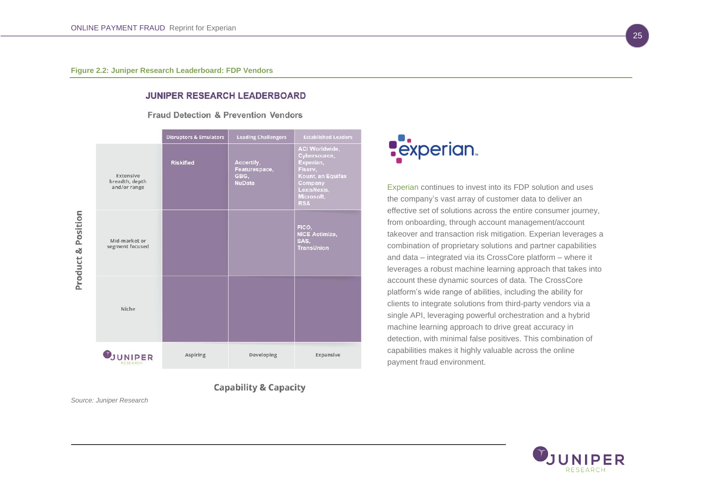## **JUNIPER RESEARCH LEADERBOARD**

Fraud Detection & Prevention Vendors

<span id="page-27-0"></span>

**Capability & Capacity** 

*Source: Juniper Research* 



Experian continues to invest into its FDP solution and uses the company's vast array of customer data to deliver an effective set of solutions across the entire consumer journey, from onboarding, through account management/account takeover and transaction risk mitigation. Experian leverages a combination of proprietary solutions and partner capabilities and data – integrated via its CrossCore platform – where it leverages a robust machine learning approach that takes into account these dynamic sources of data. The CrossCore platform's wide range of abilities, including the ability for clients to integrate solutions from third-party vendors via a single API, leveraging powerful orchestration and a hybrid machine learning approach to drive great accuracy in detection, with minimal false positives. This combination of capabilities makes it highly valuable across the online payment fraud environment.

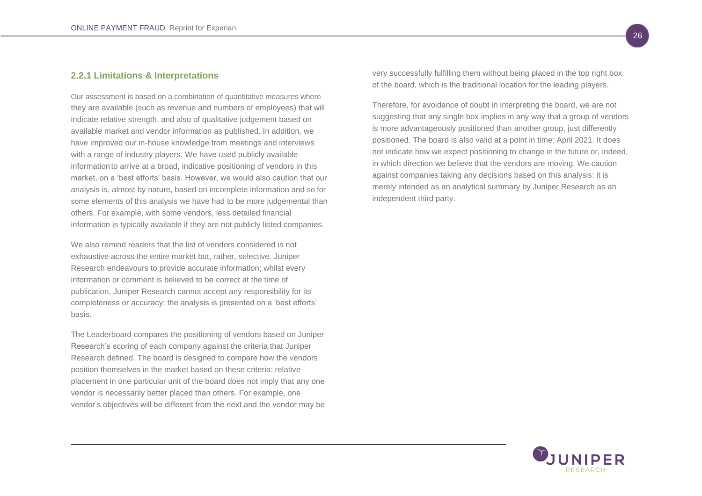## <span id="page-28-0"></span>**2.2.1 Limitations & Interpretations**

Our assessment is based on a combination of quantitative measures where they are available (such as revenue and numbers of employees) that will indicate relative strength, and also of qualitative judgement based on available market and vendor information as published. In addition, we have improved our in-house knowledge from meetings and interviews with a range of industry players. We have used publicly available informationto arrive at a broad, indicative positioning of vendors in this market, on a 'best efforts' basis. However, we would also caution that our analysis is, almost by nature, based on incomplete information and so for some elements of this analysis we have had to be more judgemental than others. For example, with some vendors, less detailed financial information is typically available if they are not publicly listed companies.

We also remind readers that the list of vendors considered is not exhaustive across the entire market but, rather, selective. Juniper Research endeavours to provide accurate information; whilst every information or comment is believed to be correct at the time of publication, Juniper Research cannot accept any responsibility for its completeness or accuracy: the analysis is presented on a 'best efforts' basis.

The Leaderboard compares the positioning of vendors based on Juniper Research's scoring of each company against the criteria that Juniper Research defined. The board is designed to compare how the vendors position themselves in the market based on these criteria: relative placement in one particular unit of the board does not imply that any one vendor is necessarily better placed than others. For example, one vendor's objectives will be different from the next and the vendor may be very successfully fulfilling them without being placed in the top right box of the board, which is the traditional location for the leading players.

Therefore, for avoidance of doubt in interpreting the board, we are not suggesting that any single box implies in any way that a group of vendors is more advantageously positioned than another group, just differently positioned. The board is also valid at a point in time: April 2021. It does not indicate how we expect positioning to change in the future or, indeed, in which direction we believe that the vendors are moving. We caution against companies taking any decisions based on this analysis: it is merely intended as an analytical summary by Juniper Research as an independent third party.

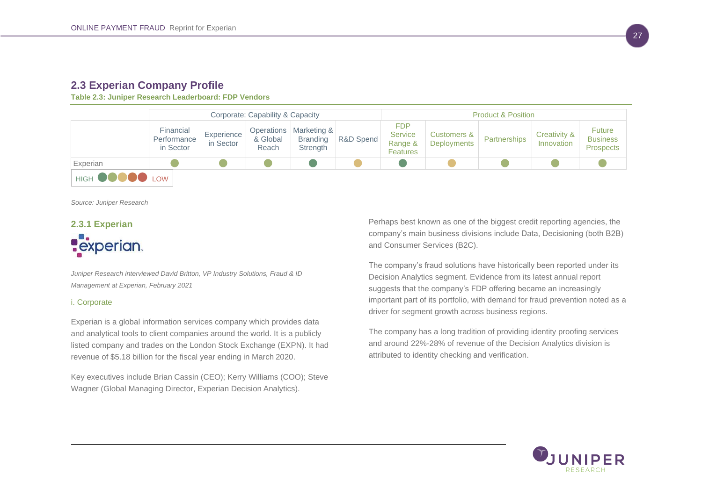## <span id="page-29-0"></span>**2.3 Experian Company Profile**

<span id="page-29-1"></span>**Table 2.3: Juniper Research Leaderboard: FDP Vendors**

|                       | Corporate: Capability & Capacity      |                         |                   |                                                           | <b>Product &amp; Position</b> |                                                            |                                              |              |                            |                                                      |
|-----------------------|---------------------------------------|-------------------------|-------------------|-----------------------------------------------------------|-------------------------------|------------------------------------------------------------|----------------------------------------------|--------------|----------------------------|------------------------------------------------------|
|                       | Financial<br>Performance<br>in Sector | Experience<br>in Sector | & Global<br>Reach | Operations   Marketing &  <br><b>Branding</b><br>Strength | R&D Spend                     | <b>FDP</b><br><b>Service</b><br>Range &<br><b>Features</b> | <b>Customers &amp;</b><br><b>Deployments</b> | Partnerships | Creativity &<br>Innovation | <b>Future</b><br><b>Business</b><br><b>Prospects</b> |
| Experian              |                                       |                         |                   |                                                           |                               |                                                            |                                              |              |                            |                                                      |
| HIGH <b>OOOOO</b> LOW |                                       |                         |                   |                                                           |                               |                                                            |                                              |              |                            |                                                      |

*Source: Juniper Research* 

## <span id="page-29-2"></span>**2.3.1 Experian Pexperian**

*Juniper Research interviewed David Britton, VP Industry Solutions, Fraud & ID Management at Experian, February 2021*

## <span id="page-29-3"></span>i. Corporate

Experian is a global information services company which provides data and analytical tools to client companies around the world. It is a publicly listed company and trades on the London Stock Exchange (EXPN). It had revenue of \$5.18 billion for the fiscal year ending in March 2020.

Key executives include Brian Cassin (CEO); Kerry Williams (COO); Steve Wagner (Global Managing Director, Experian Decision Analytics).

Perhaps best known as one of the biggest credit reporting agencies, the company's main business divisions include Data, Decisioning (both B2B) and Consumer Services (B2C).

The company's fraud solutions have historically been reported under its Decision Analytics segment. Evidence from its latest annual report suggests that the company's FDP offering became an increasingly important part of its portfolio, with demand for fraud prevention noted as a driver for segment growth across business regions.

The company has a long tradition of providing identity proofing services and around 22%-28% of revenue of the Decision Analytics division is attributed to identity checking and verification.

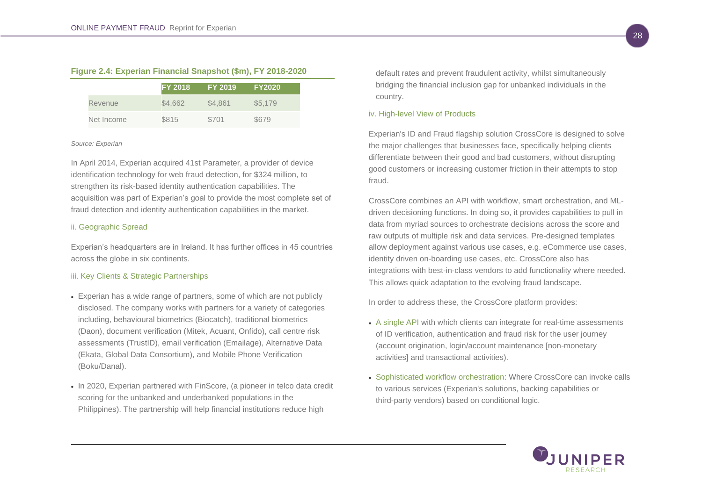<span id="page-30-0"></span>

|  |  |  | Figure 2.4: Experian Financial Snapshot (\$m), FY 2018-2020 |
|--|--|--|-------------------------------------------------------------|
|  |  |  |                                                             |

|            | <b>FY 2018</b> | <b>FY 2019</b> | <b>FY2020</b> |
|------------|----------------|----------------|---------------|
| Revenue    | \$4,662        | \$4,861        | \$5,179       |
| Net Income | \$815          | \$701          | \$679         |

#### *Source: Experian*

In April 2014, Experian acquired 41st Parameter, a provider of device identification technology for web fraud detection, for \$324 million, to strengthen its risk-based identity authentication capabilities. The acquisition was part of Experian's goal to provide the most complete set of fraud detection and identity authentication capabilities in the market.

## <span id="page-30-1"></span>ii. Geographic Spread

Experian's headquarters are in Ireland. It has further offices in 45 countries across the globe in six continents.

## <span id="page-30-2"></span>iii. Key Clients & Strategic Partnerships

- Experian has a wide range of partners, some of which are not publicly disclosed. The company works with partners for a variety of categories including, behavioural biometrics (Biocatch), traditional biometrics (Daon), document verification (Mitek, Acuant, Onfido), call centre risk assessments (TrustID), email verification (Emailage), Alternative Data (Ekata, Global Data Consortium), and Mobile Phone Verification (Boku/Danal).
- In 2020, Experian partnered with FinScore, (a pioneer in telco data credit scoring for the unbanked and underbanked populations in the Philippines). The partnership will help financial institutions reduce high

default rates and prevent fraudulent activity, whilst simultaneously bridging the financial inclusion gap for unbanked individuals in the country.

#### <span id="page-30-3"></span>iv. High-level View of Products

Experian's ID and Fraud flagship solution CrossCore is designed to solve the major challenges that businesses face, specifically helping clients differentiate between their good and bad customers, without disrupting good customers or increasing customer friction in their attempts to stop fraud.

CrossCore combines an API with workflow, smart orchestration, and MLdriven decisioning functions. In doing so, it provides capabilities to pull in data from myriad sources to orchestrate decisions across the score and raw outputs of multiple risk and data services. Pre-designed templates allow deployment against various use cases, e.g. eCommerce use cases, identity driven on-boarding use cases, etc. CrossCore also has integrations with best-in-class vendors to add functionality where needed. This allows quick adaptation to the evolving fraud landscape.

In order to address these, the CrossCore platform provides:

- A single API with which clients can integrate for real-time assessments of ID verification, authentication and fraud risk for the user journey (account origination, login/account maintenance [non-monetary activities] and transactional activities).
- Sophisticated workflow orchestration: Where CrossCore can invoke calls to various services (Experian's solutions, backing capabilities or third-party vendors) based on conditional logic.

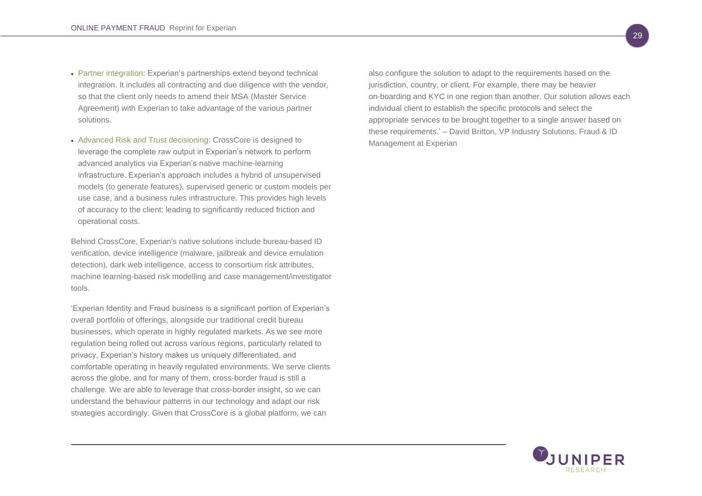- Partner integration: Experian's partnerships extend beyond technical integration. It includes all contracting and due diligence with the vendor, so that the client only needs to amend their MSA (Master Service Agreement) with Experian to take advantage of the various partner solutions.
- Advanced Risk and Trust decisioning: CrossCore is designed to leverage the complete raw output in Experian's network to perform advanced analytics via Experian's native machine-learning infrastructure. Experian's approach includes a hybrid of unsupervised models (to generate features), supervised generic or custom models per use case, and a business rules infrastructure. This provides high levels of accuracy to the client; leading to significantly reduced friction and operational costs.

Behind CrossCore, Experian's native solutions include bureau-based ID verification, device intelligence (malware, jailbreak and device emulation detection), dark web intelligence, access to consortium risk attributes, machine learning-based risk modelling and case management/investigator tools.

'Experian Identity and Fraud business is a significant portion of Experian's overall portfolio of offerings, alongside our traditional credit bureau businesses, which operate in highly regulated markets. As we see more regulation being rolled out across various regions, particularly related to privacy, Experian's history makes us uniquely differentiated, and comfortable operating in heavily regulated environments. We serve clients across the globe, and for many of them, cross-border fraud is still a challenge. We are able to leverage that cross-border insight, so we can understand the behaviour patterns in our technology and adapt our risk strategies accordingly. Given that CrossCore is a global platform, we can

also configure the solution to adapt to the requirements based on the jurisdiction, country, or client. For example, there may be heavier on-boarding and KYC in one region than another. Our solution allows each individual client to establish the specific protocols and select the appropriate services to be brought together to a single answer based on these requirements.' – David Britton, VP Industry Solutions, Fraud & ID Management at Experian

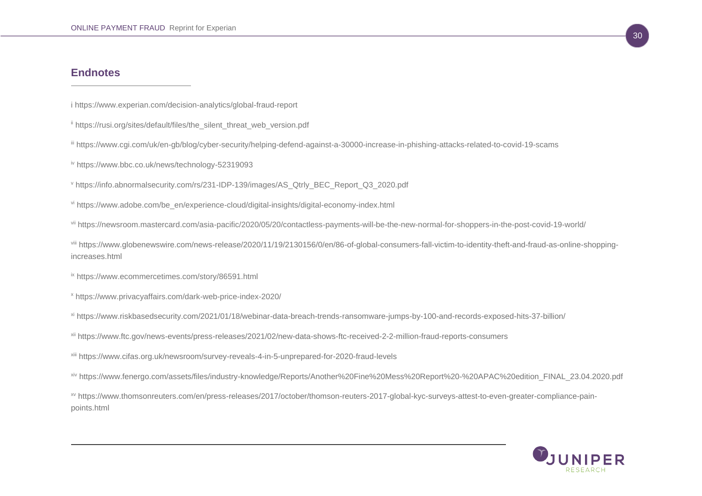## **Endnotes**

i https://www.experian.com/decision-analytics/global-fraud-report

- " https://rusi.org/sites/default/files/the\_silent\_threat\_web\_version.pdf
- iii https://www.cgi.com/uk/en-gb/blog/cyber-security/helping-defend-against-a-30000-increase-in-phishing-attacks-related-to-covid-19-scams
- iv https://www.bbc.co.uk/news/technology-52319093
- <sup>v</sup> https://info.abnormalsecurity.com/rs/231-IDP-139/images/AS\_Qtrly\_BEC\_Report\_Q3\_2020.pdf
- vi https://www.adobe.com/be\_en/experience-cloud/digital-insights/digital-economy-index.html

vii https://newsroom.mastercard.com/asia-pacific/2020/05/20/contactless-payments-will-be-the-new-normal-for-shoppers-in-the-post-covid-19-world/

viii https://www.globenewswire.com/news-release/2020/11/19/2130156/0/en/86-of-global-consumers-fall-victim-to-identity-theft-and-fraud-as-online-shoppingincreases.html

ix https://www.ecommercetimes.com/story/86591.html

- <sup>x</sup> https://www.privacyaffairs.com/dark-web-price-index-2020/
- xi https://www.riskbasedsecurity.com/2021/01/18/webinar-data-breach-trends-ransomware-jumps-by-100-and-records-exposed-hits-37-billion/
- xii https://www.ftc.gov/news-events/press-releases/2021/02/new-data-shows-ftc-received-2-2-million-fraud-reports-consumers
- xiii https://www.cifas.org.uk/newsroom/survey-reveals-4-in-5-unprepared-for-2020-fraud-levels
- xiv https://www.fenergo.com/assets/files/industry-knowledge/Reports/Another%20Fine%20Mess%20Report%20-%20APAC%20edition\_FINAL\_23.04.2020.pdf

xv https://www.thomsonreuters.com/en/press-releases/2017/october/thomson-reuters-2017-global-kyc-surveys-attest-to-even-greater-compliance-painpoints.html